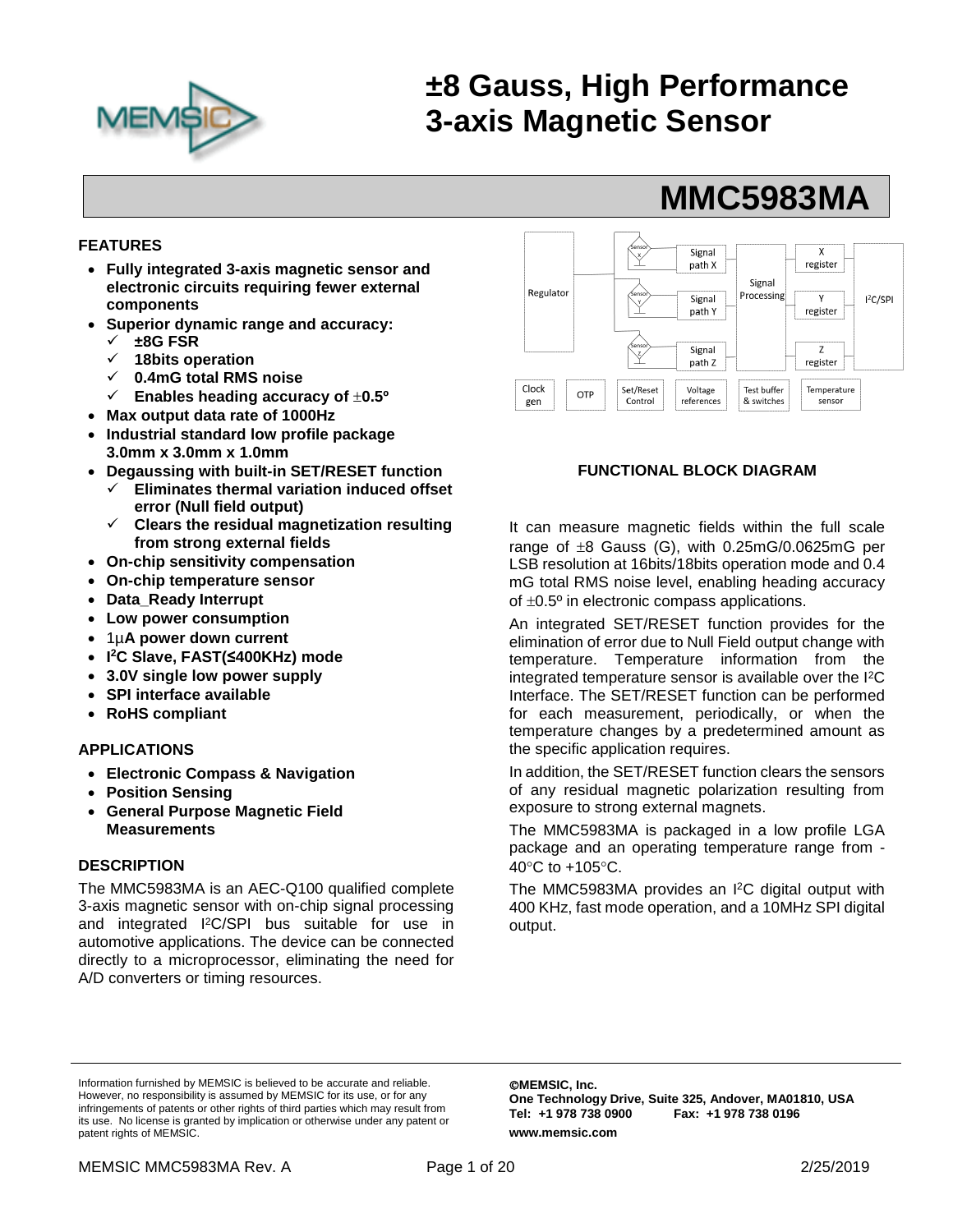

# **±8 Gauss, High Performance 3-axis Magnetic Sensor**

## **FEATURES**

- **Fully integrated 3-axis magnetic sensor and electronic circuits requiring fewer external components**
- **Superior dynamic range and accuracy:**
	- ✓ **±8G FSR**
	- ✓ **18bits operation**
	- ✓ **0.4mG total RMS noise**
	- ✓ **Enables heading accuracy of 0.5º**
- **Max output data rate of 1000Hz**
- **Industrial standard low profile package 3.0mm x 3.0mm x 1.0mm**
- **Degaussing with built-in SET/RESET function**
	- ✓ **Eliminates thermal variation induced offset error (Null field output)**
	- ✓ **Clears the residual magnetization resulting from strong external fields**
- **On-chip sensitivity compensation**
- **On-chip temperature sensor**
- **Data\_Ready Interrupt**
- **Low power consumption**
- 1µ**A power down current**
- **I <sup>2</sup>C Slave, FAST(≤400KHz) mode**
- **3.0V single low power supply**
- **SPI interface available**
- **RoHS compliant**

#### **APPLICATIONS**

- **Electronic Compass & Navigation**
- **Position Sensing**
- **General Purpose Magnetic Field Measurements**

#### **DESCRIPTION**

The MMC5983MA is an AEC-Q100 qualified complete 3-axis magnetic sensor with on-chip signal processing and integrated I <sup>2</sup>C/SPI bus suitable for use in automotive applications. The device can be connected directly to a microprocessor, eliminating the need for A/D converters or timing resources.



**MMC5983MA**

## **FUNCTIONAL BLOCK DIAGRAM**

It can measure magnetic fields within the full scale range of  $\pm 8$  Gauss (G), with 0.25mG/0.0625mG per LSB resolution at 16bits/18bits operation mode and 0.4 mG total RMS noise level, enabling heading accuracy of  $\pm 0.5^\circ$  in electronic compass applications.

An integrated SET/RESET function provides for the elimination of error due to Null Field output change with temperature. Temperature information from the integrated temperature sensor is available over the I<sup>2</sup>C Interface. The SET/RESET function can be performed for each measurement, periodically, or when the temperature changes by a predetermined amount as the specific application requires.

In addition, the SET/RESET function clears the sensors of any residual magnetic polarization resulting from exposure to strong external magnets.

The MMC5983MA is packaged in a low profile LGA package and an operating temperature range from - 40 $\mathrm{^{\circ}C}$  to +105 $\mathrm{^{\circ}C}$ .

The MMC5983MA provides an I <sup>2</sup>C digital output with 400 KHz, fast mode operation, and a 10MHz SPI digital output.

Information furnished by MEMSIC is believed to be accurate and reliable. However, no responsibility is assumed by MEMSIC for its use, or for any infringements of patents or other rights of third parties which may result from its use. No license is granted by implication or otherwise under any patent or patent rights of MEMSIC.

©**MEMSIC, Inc. One Technology Drive, Suite 325, Andover, MA01810, USA** Tel: +1 978 738 0900 **www.memsic.com**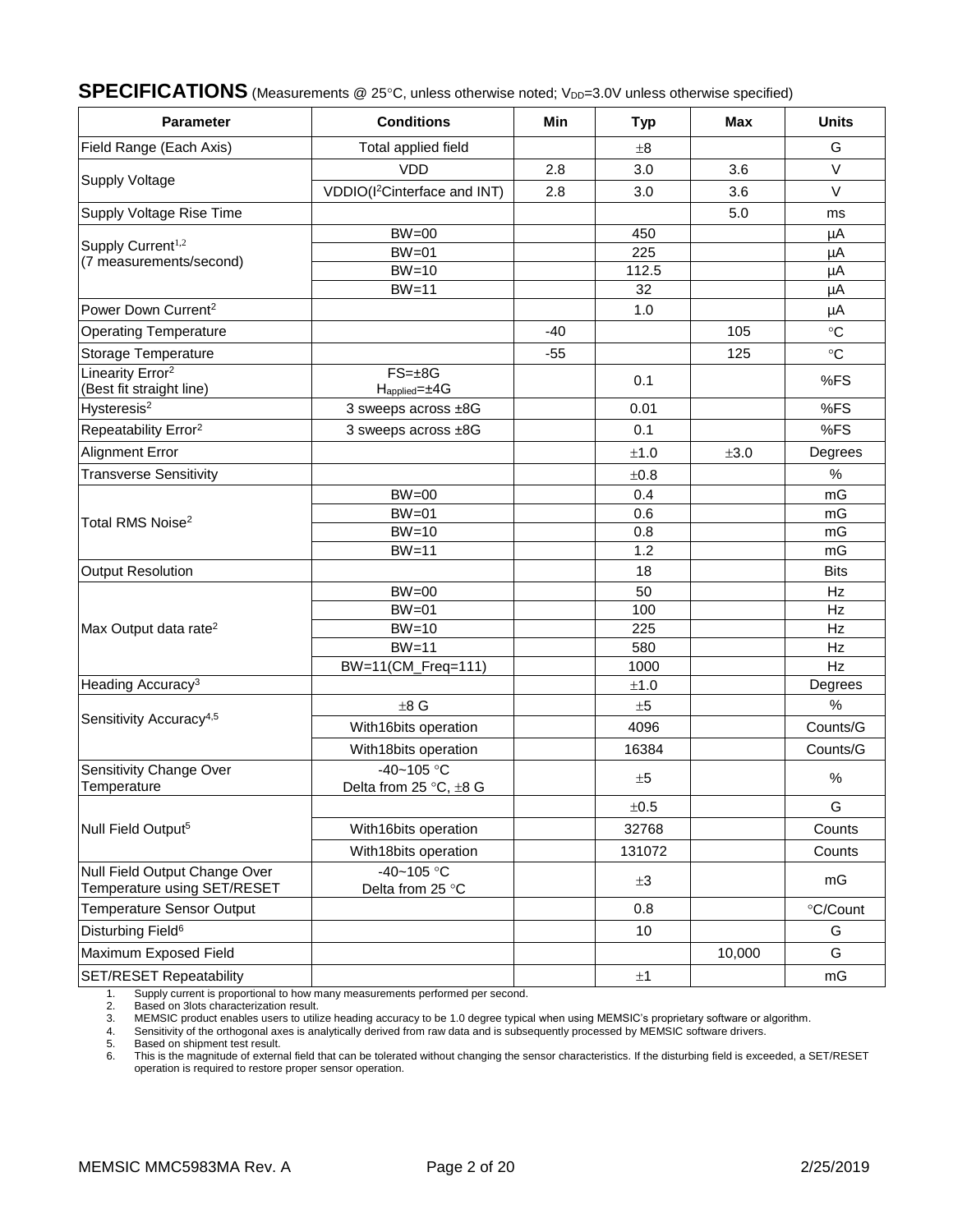# **SPECIFICATIONS** (Measurements @ 25°C, unless otherwise noted; V<sub>DD</sub>=3.0V unless otherwise specified)

| <b>Parameter</b>                                             | <b>Conditions</b>                              | <b>Min</b> | <b>Typ</b> | <b>Max</b> | <b>Units</b> |
|--------------------------------------------------------------|------------------------------------------------|------------|------------|------------|--------------|
| Field Range (Each Axis)                                      | Total applied field                            |            | $\pm 8$    |            | G            |
|                                                              | <b>VDD</b>                                     | 2.8        | 3.0        | 3.6        | $\vee$       |
| <b>Supply Voltage</b>                                        | VDDIO(I <sup>2</sup> Cinterface and INT)       | 2.8        | 3.0        | 3.6        | $\vee$       |
| Supply Voltage Rise Time                                     |                                                |            |            | 5.0        | ms           |
|                                                              | $BW = 00$                                      |            | 450        |            | μA           |
| Supply Current <sup>1,2</sup>                                | $BW=01$                                        |            | 225        |            | μA           |
| (7 measurements/second)                                      | $BW=10$                                        |            | 112.5      |            | μA           |
|                                                              | $BW=11$                                        |            | 32         |            | μA           |
| Power Down Current <sup>2</sup>                              |                                                |            | 1.0        |            | $\mu A$      |
| <b>Operating Temperature</b>                                 |                                                | $-40$      |            | 105        | $\circ$ C    |
| Storage Temperature                                          |                                                | $-55$      |            | 125        | $\circ$ C    |
| Linearity Error <sup>2</sup><br>(Best fit straight line)     | $FS = \pm 8G$<br>$H_{\text{applied}} = \pm 4G$ |            | 0.1        |            | %FS          |
| Hysteresis <sup>2</sup>                                      | 3 sweeps across ±8G                            |            | 0.01       |            | %FS          |
| Repeatability Error <sup>2</sup>                             | 3 sweeps across ±8G                            |            | 0.1        |            | %FS          |
| <b>Alignment Error</b>                                       |                                                |            | ±1.0       | ±3.0       | Degrees      |
| <b>Transverse Sensitivity</b>                                |                                                |            | ±0.8       |            | $\%$         |
| Total RMS Noise <sup>2</sup>                                 | $BW = 00$                                      |            | 0.4        |            | mG           |
|                                                              | $BW=01$                                        |            | 0.6        |            | mG           |
|                                                              | $BW=10$                                        |            | 0.8        |            | mG           |
|                                                              | $BW=11$                                        |            | 1.2        |            | mG           |
| Output Resolution                                            |                                                |            | 18         |            | <b>Bits</b>  |
|                                                              | $BW = 00$                                      |            | 50         |            | Hz           |
|                                                              | $BW=01$                                        |            | 100        |            | Hz           |
| Max Output data rate <sup>2</sup>                            | $BW=10$                                        |            | 225        |            | Hz           |
|                                                              | $BW=11$                                        |            | 580        |            | Hz           |
|                                                              | BW=11(CM_Freq=111)                             |            | 1000       |            | Hz           |
| Heading Accuracy <sup>3</sup>                                |                                                |            | $\pm 1.0$  |            | Degrees      |
|                                                              | $\pm 8$ G                                      |            | ±5         |            | %            |
| Sensitivity Accuracy <sup>4,5</sup>                          | With16bits operation                           |            | 4096       |            | Counts/G     |
|                                                              | With18bits operation                           |            | 16384      |            | Counts/G     |
| Sensitivity Change Over<br>Temperature                       | $-40 - 105$ °C<br>Delta from 25 °C, ±8 G       |            | ±5         |            | $\%$         |
|                                                              |                                                |            | $\pm 0.5$  |            | G            |
| Null Field Output <sup>5</sup>                               | With16bits operation                           |            | 32768      |            | Counts       |
|                                                              | With18bits operation                           |            | 131072     |            | Counts       |
| Null Field Output Change Over<br>Temperature using SET/RESET | $-40 - 105$ °C<br>Delta from 25 °C             |            | $\pm 3$    |            | mG           |
| <b>Temperature Sensor Output</b>                             |                                                |            | 0.8        |            | °C/Count     |
| Disturbing Field <sup>6</sup>                                |                                                |            | 10         |            | G            |
| Maximum Exposed Field                                        |                                                |            |            | 10,000     | G            |
| <b>SET/RESET Repeatability</b>                               |                                                |            | $\pm 1$    |            | mG           |

1. Supply current is proportional to how many measurements performed per second.<br>2. Based on 3lots characterization result.<br>3. MEMSIC product enables users to utilize heading accuracy to be 1.0 degree typical

Based on 3lots characterization result.

3. MEMSIC product enables users to utilize heading accuracy to be 1.0 degree typical when using MEMSIC's proprietary software or algorithm.<br>4. Sensitivity of the orthogonal axes is analytically derived from raw data and is

4. Sensitivity of the orthogonal axes is analytically derived from raw data and is subsequently processed by MEMSIC software drivers.<br>5. Based on shipment test result.

5. Based on shipment test result.<br>6. This is the magnitude of extern This is the magnitude of external field that can be tolerated without changing the sensor characteristics. If the disturbing field is exceeded, a SET/RESET operation is required to restore proper sensor operation.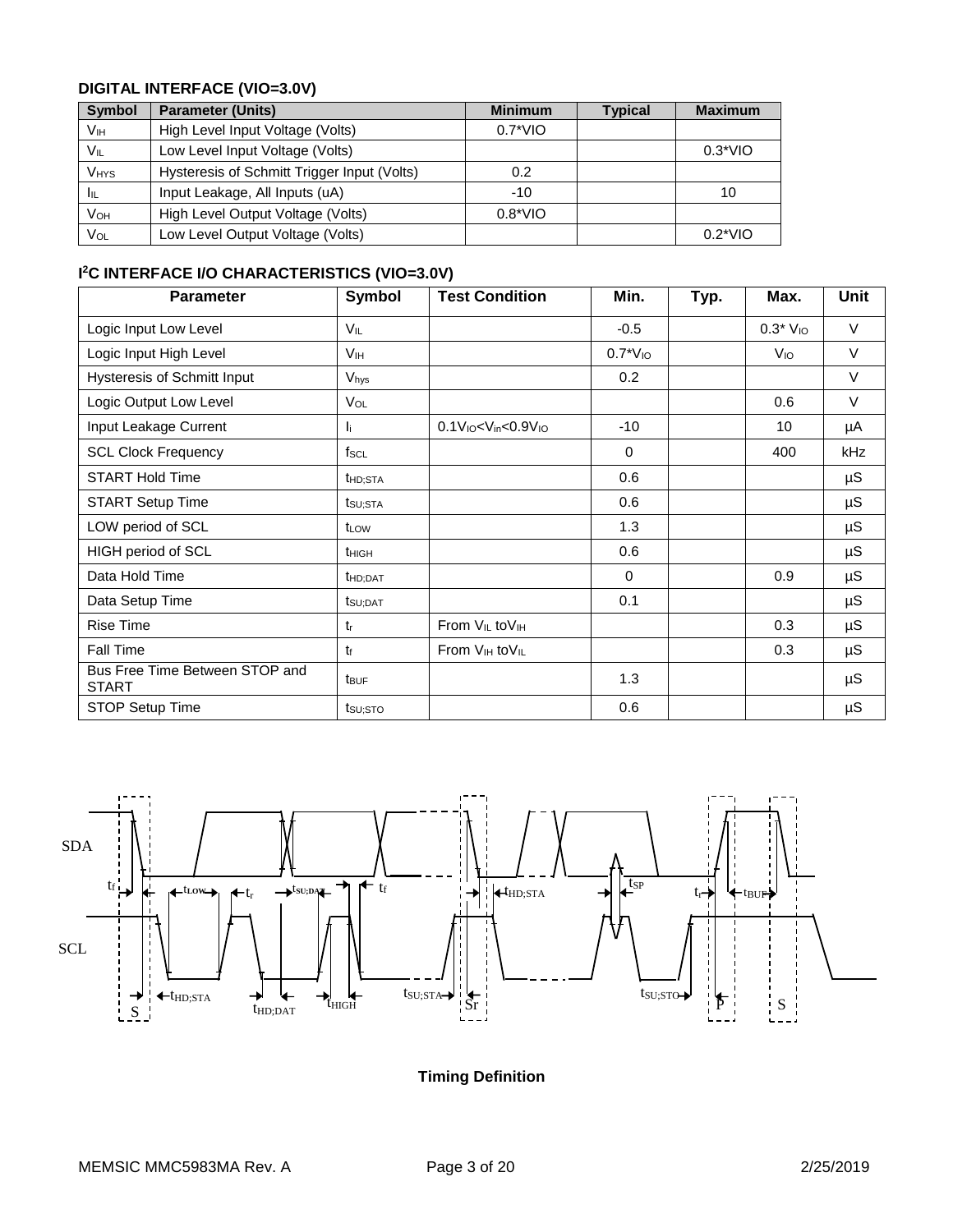# **DIGITAL INTERFACE (VIO=3.0V)**

| <b>Symbol</b> | <b>Parameter (Units)</b>                    | <b>Minimum</b>   | <b>Typical</b> | <b>Maximum</b> |
|---------------|---------------------------------------------|------------------|----------------|----------------|
| Vıн           | High Level Input Voltage (Volts)            | $0.7^*$ VIO      |                |                |
| $V_{IL}$      | Low Level Input Voltage (Volts)             |                  |                | $0.3*VIO$      |
| <b>VHYS</b>   | Hysteresis of Schmitt Trigger Input (Volts) | 0.2              |                |                |
| Iщ            | Input Leakage, All Inputs (uA)              | $-10$            |                | 10             |
| VOH           | High Level Output Voltage (Volts)           | $0.8^{\ast}$ VIO |                |                |
| Vol           | Low Level Output Voltage (Volts)            |                  |                | $0.2^*$ VIO    |

## **I <sup>2</sup>C INTERFACE I/O CHARACTERISTICS (VIO=3.0V)**

| <b>Parameter</b>                               | Symbol               | <b>Test Condition</b>                                           | Min.         | Typ. | Max.            | Unit    |
|------------------------------------------------|----------------------|-----------------------------------------------------------------|--------------|------|-----------------|---------|
| Logic Input Low Level                          | VIL                  |                                                                 | $-0.5$       |      | $0.3*$ $V_{10}$ | $\vee$  |
| Logic Input High Level                         | V <sub>IH</sub>      |                                                                 | $0.7*V_{10}$ |      | V <sub>IO</sub> | V       |
| Hysteresis of Schmitt Input                    | Vhys                 |                                                                 | 0.2          |      |                 | V       |
| Logic Output Low Level                         | VOL                  |                                                                 |              |      | 0.6             | $\vee$  |
| Input Leakage Current                          | Ιï.                  | $0.1V$ <sub>io</sub> < $V$ <sub>in</sub> < $0.9V$ <sub>io</sub> | $-10$        |      | 10              | μA      |
| <b>SCL Clock Frequency</b>                     | fscl                 |                                                                 | $\mathbf{0}$ |      | 400             | kHz     |
| <b>START Hold Time</b>                         | t <sub>HD:STA</sub>  |                                                                 | 0.6          |      |                 | μS      |
| <b>START Setup Time</b>                        | tsu;sta              |                                                                 | 0.6          |      |                 | μS      |
| LOW period of SCL                              | t <sub>LOW</sub>     |                                                                 | 1.3          |      |                 | μS      |
| HIGH period of SCL                             | t <sub>HIGH</sub>    |                                                                 | 0.6          |      |                 | $\mu$ S |
| Data Hold Time                                 | t <sub>HD</sub> ;DAT |                                                                 | $\mathbf 0$  |      | 0.9             | μS      |
| Data Setup Time                                | tsu:DAT              |                                                                 | 0.1          |      |                 | μS      |
| <b>Rise Time</b>                               | $t_{r}$              | From V <sub>IL</sub> to V <sub>IH</sub>                         |              |      | 0.3             | μS      |
| Fall Time                                      | tŧ                   | From $V_{IH}$ to $V_{IL}$                                       |              |      | 0.3             | $\mu$ S |
| Bus Free Time Between STOP and<br><b>START</b> | t <sub>BUF</sub>     |                                                                 | 1.3          |      |                 | $\mu$ S |
| STOP Setup Time                                | tsu:sto              |                                                                 | 0.6          |      |                 | μS      |



**Timing Definition**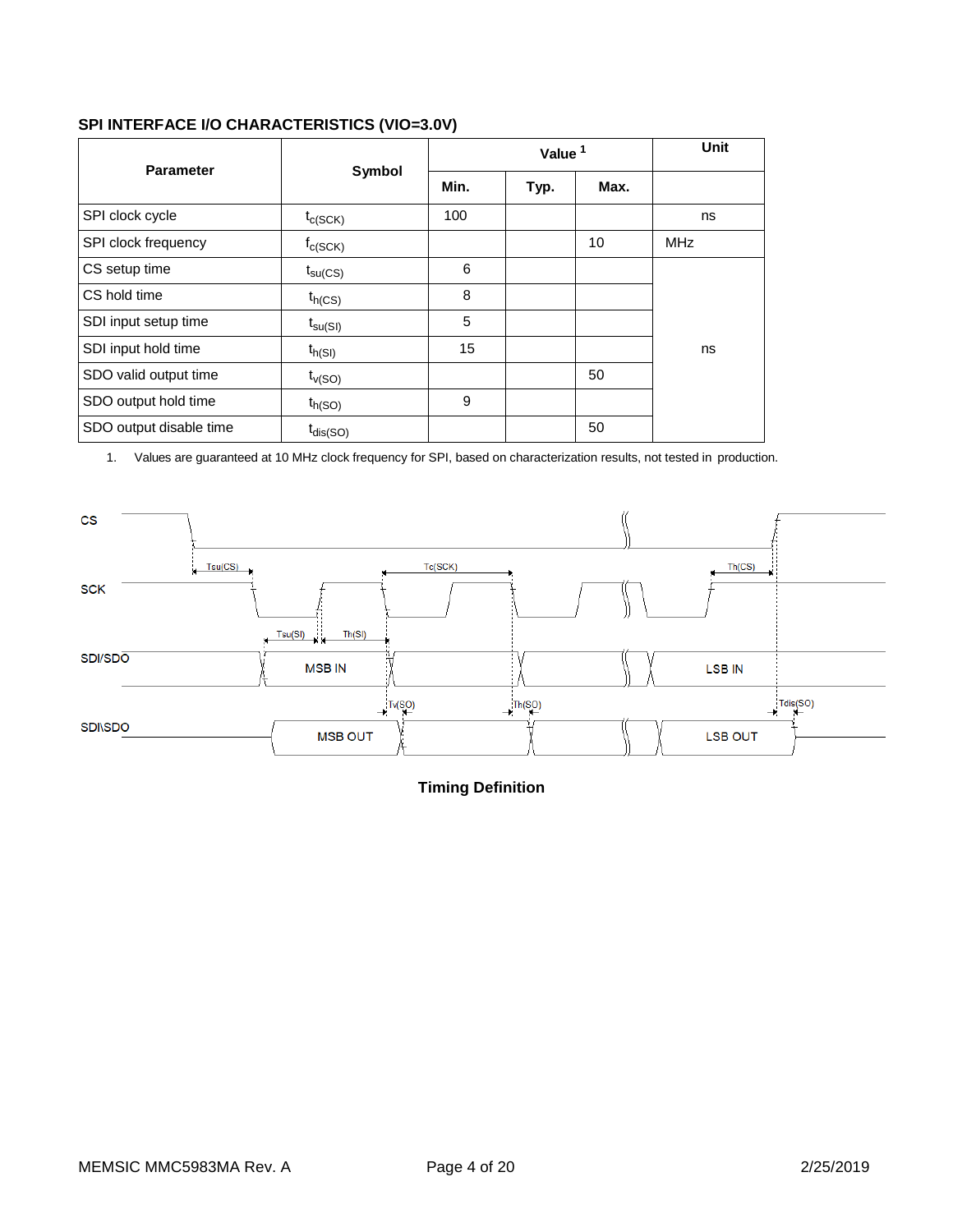## **SPI INTERFACE I/O CHARACTERISTICS (VIO=3.0V)**

| <b>Parameter</b>        | Symbol                     |      | Value <sup>1</sup> | <b>Unit</b> |            |
|-------------------------|----------------------------|------|--------------------|-------------|------------|
|                         |                            | Min. | Typ.               | Max.        |            |
| SPI clock cycle         | $t_{c(SCK)}$               | 100  |                    |             | ns         |
| SPI clock frequency     | $f_{C(SCK)}$               |      |                    | 10          | <b>MHz</b> |
| CS setup time           | $t_{\text{su}(\text{CS})}$ | 6    |                    |             |            |
| CS hold time            | $t_{h(CS)}$                | 8    |                    |             |            |
| SDI input setup time    | $t_{\text{su(SI)}}$        | 5    |                    |             |            |
| SDI input hold time     | $t_{h(SI)}$                | 15   |                    |             | ns         |
| SDO valid output time   | $t_{V(SO)}$                |      |                    | 50          |            |
| SDO output hold time    | $t_{h(SO)}$                | 9    |                    |             |            |
| SDO output disable time | $t_{dis(SO)}$              |      |                    | 50          |            |

1. Values are guaranteed at 10 MHz clock frequency for SPI, based on characterization results, not tested in production.



**Timing Definition**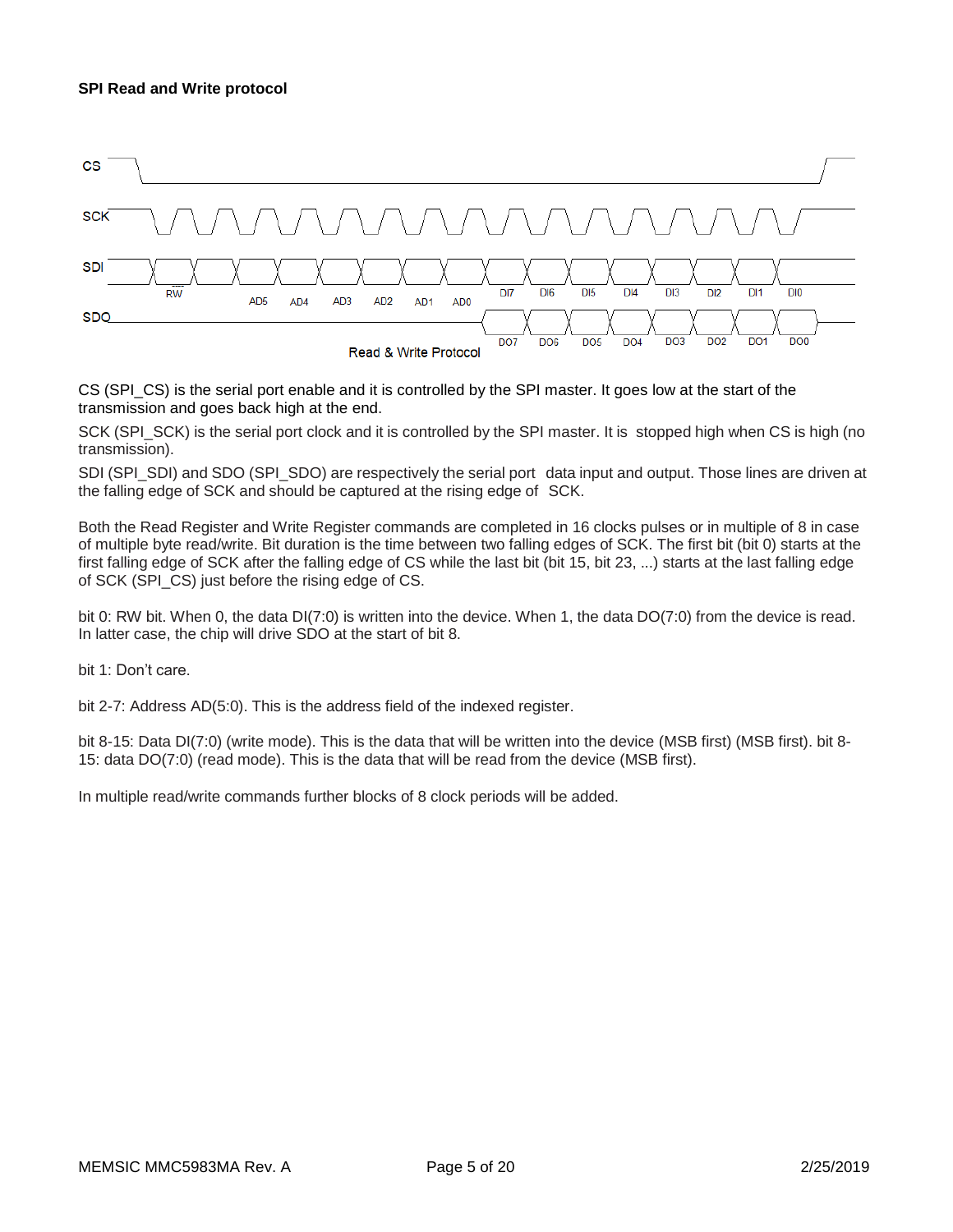#### **SPI Read and Write protocol**



CS (SPI\_CS) is the serial port enable and it is controlled by the SPI master. It goes low at the start of the transmission and goes back high at the end.

SCK (SPI\_SCK) is the serial port clock and it is controlled by the SPI master. It is stopped high when CS is high (no transmission).

SDI (SPI\_SDI) and SDO (SPI\_SDO) are respectively the serial port data input and output. Those lines are driven at the falling edge of SCK and should be captured at the rising edge of SCK.

Both the Read Register and Write Register commands are completed in 16 clocks pulses or in multiple of 8 in case of multiple byte read/write. Bit duration is the time between two falling edges of SCK. The first bit (bit 0) starts at the first falling edge of SCK after the falling edge of CS while the last bit (bit 15, bit 23, ...) starts at the last falling edge of SCK (SPI\_CS) just before the rising edge of CS.

bit 0: RW bit. When 0, the data DI(7:0) is written into the device. When 1, the data DO(7:0) from the device is read. In latter case, the chip will drive SDO at the start of bit 8.

bit 1: Don't care.

bit 2-7: Address AD(5:0). This is the address field of the indexed register.

bit 8-15: Data DI(7:0) (write mode). This is the data that will be written into the device (MSB first) (MSB first). bit 8-15: data DO(7:0) (read mode). This is the data that will be read from the device (MSB first).

In multiple read/write commands further blocks of 8 clock periods will be added.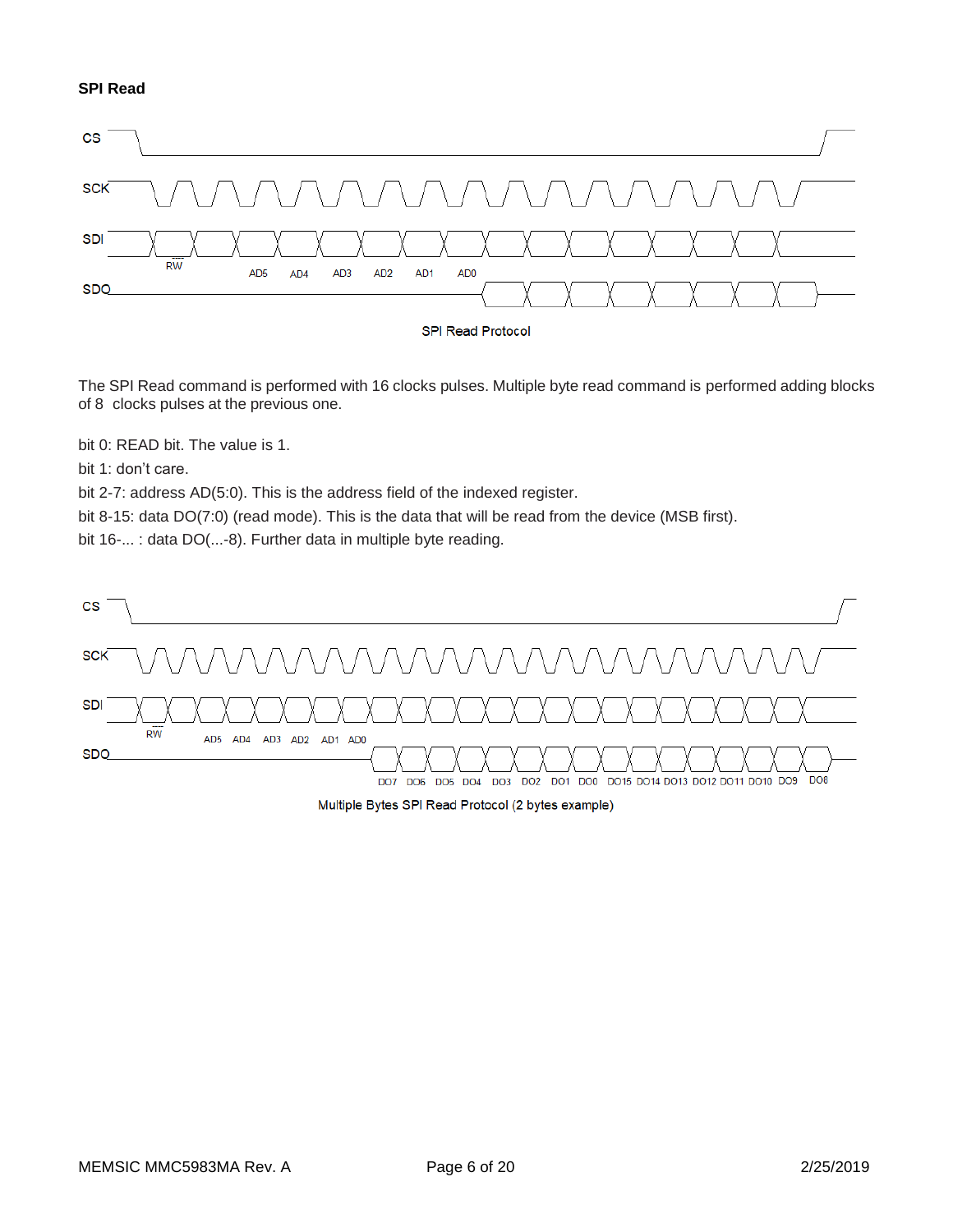### **SPI Read**



The SPI Read command is performed with 16 clocks pulses. Multiple byte read command is performed adding blocks of 8 clocks pulses at the previous one.

bit 0: READ bit. The value is 1.

bit 1: don't care.

bit 2-7: address AD(5:0). This is the address field of the indexed register.

bit 8-15: data DO(7:0) (read mode). This is the data that will be read from the device (MSB first).

bit 16-... : data DO(...-8). Further data in multiple byte reading.



Multiple Bytes SPI Read Protocol (2 bytes example)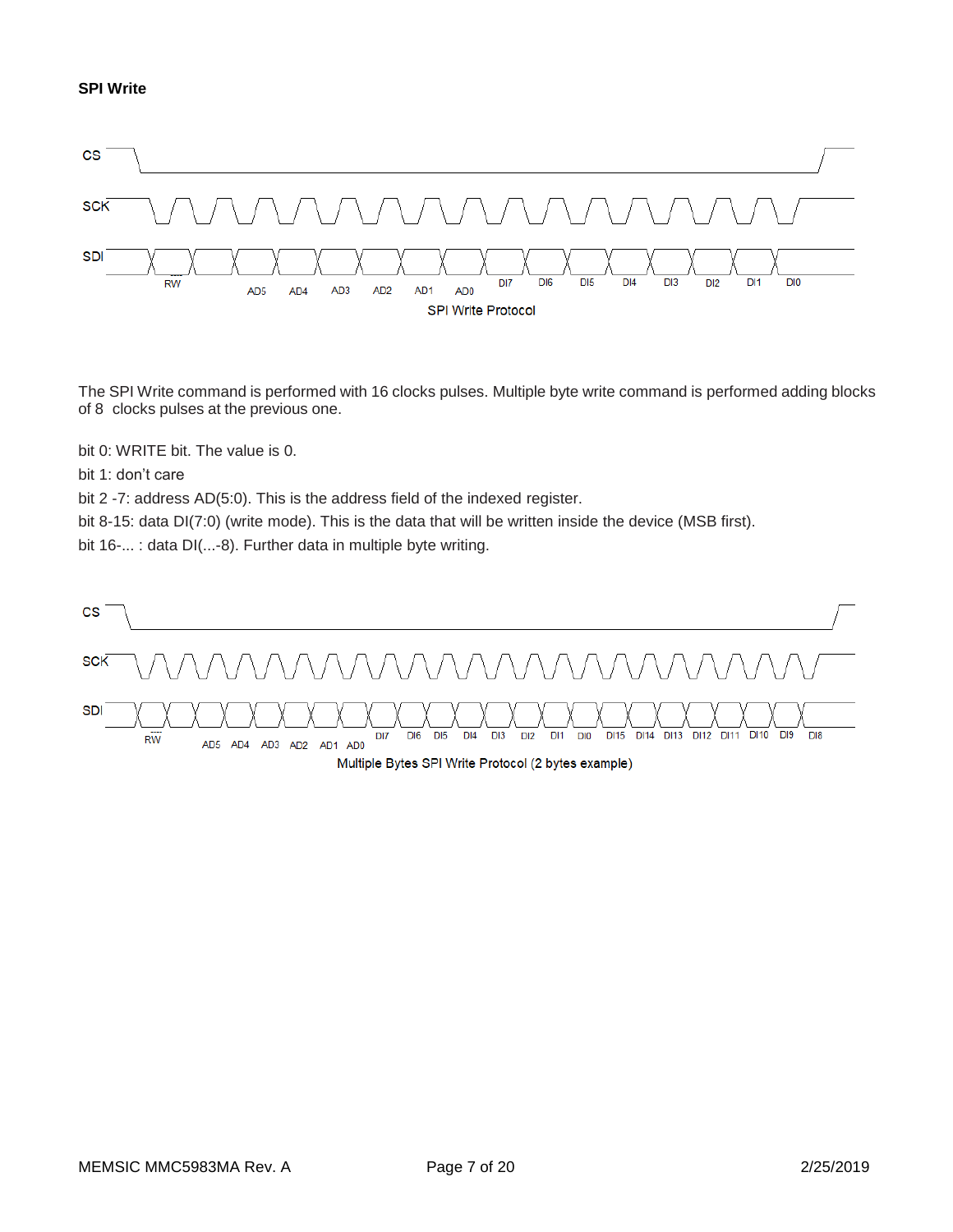

The SPI Write command is performed with 16 clocks pulses. Multiple byte write command is performed adding blocks of 8 clocks pulses at the previous one.

bit 0: WRITE bit. The value is 0.

bit 1: don't care

bit 2 -7: address AD(5:0). This is the address field of the indexed register.

bit 8-15: data DI(7:0) (write mode). This is the data that will be written inside the device (MSB first).

bit 16-... : data DI(...-8). Further data in multiple byte writing.

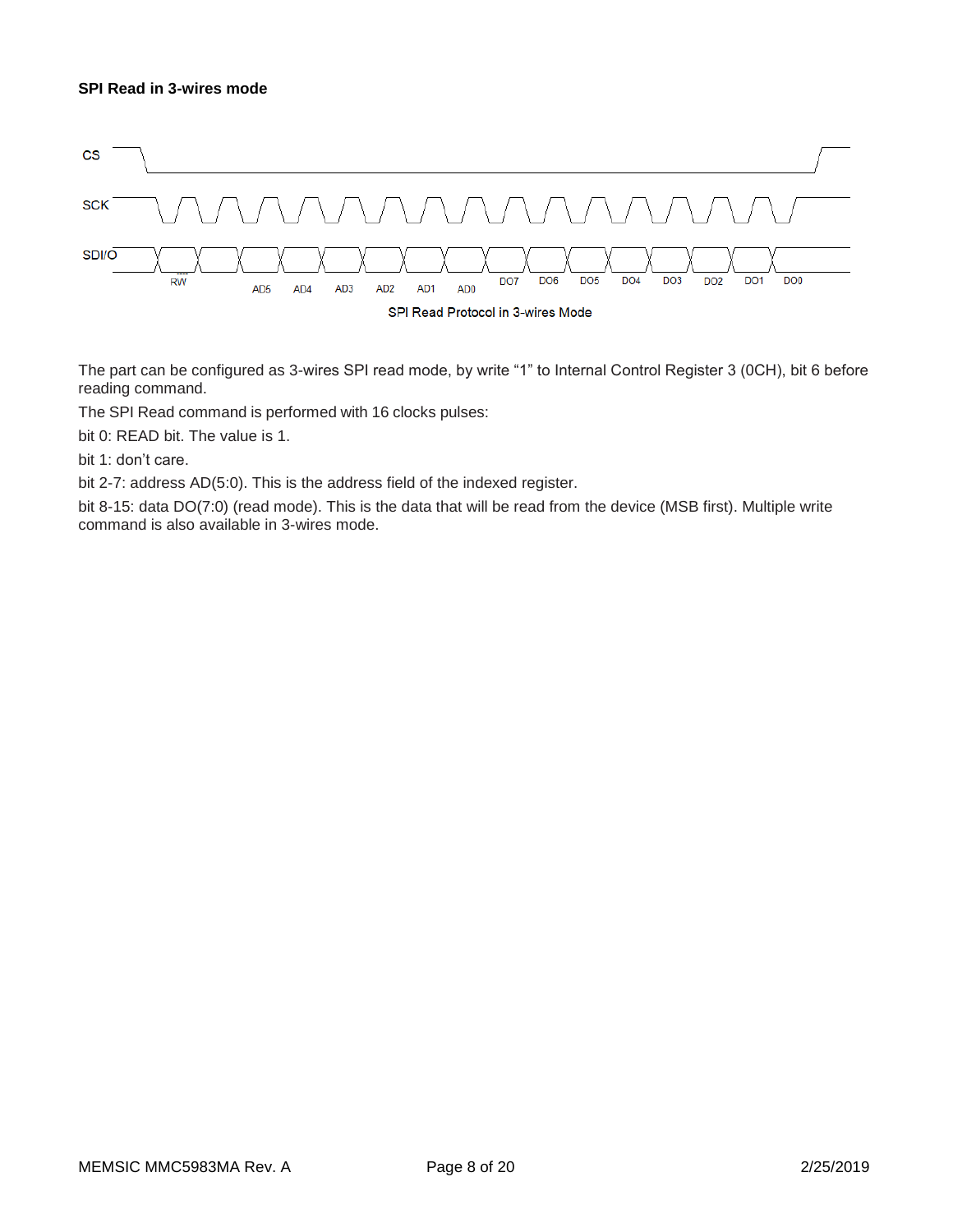## **SPI Read in 3-wires mode**



The part can be configured as 3-wires SPI read mode, by write "1" to Internal Control Register 3 (0CH), bit 6 before reading command.

The SPI Read command is performed with 16 clocks pulses:

bit 0: READ bit. The value is 1.

bit 1: don't care.

bit 2-7: address AD(5:0). This is the address field of the indexed register.

bit 8-15: data DO(7:0) (read mode). This is the data that will be read from the device (MSB first). Multiple write command is also available in 3-wires mode.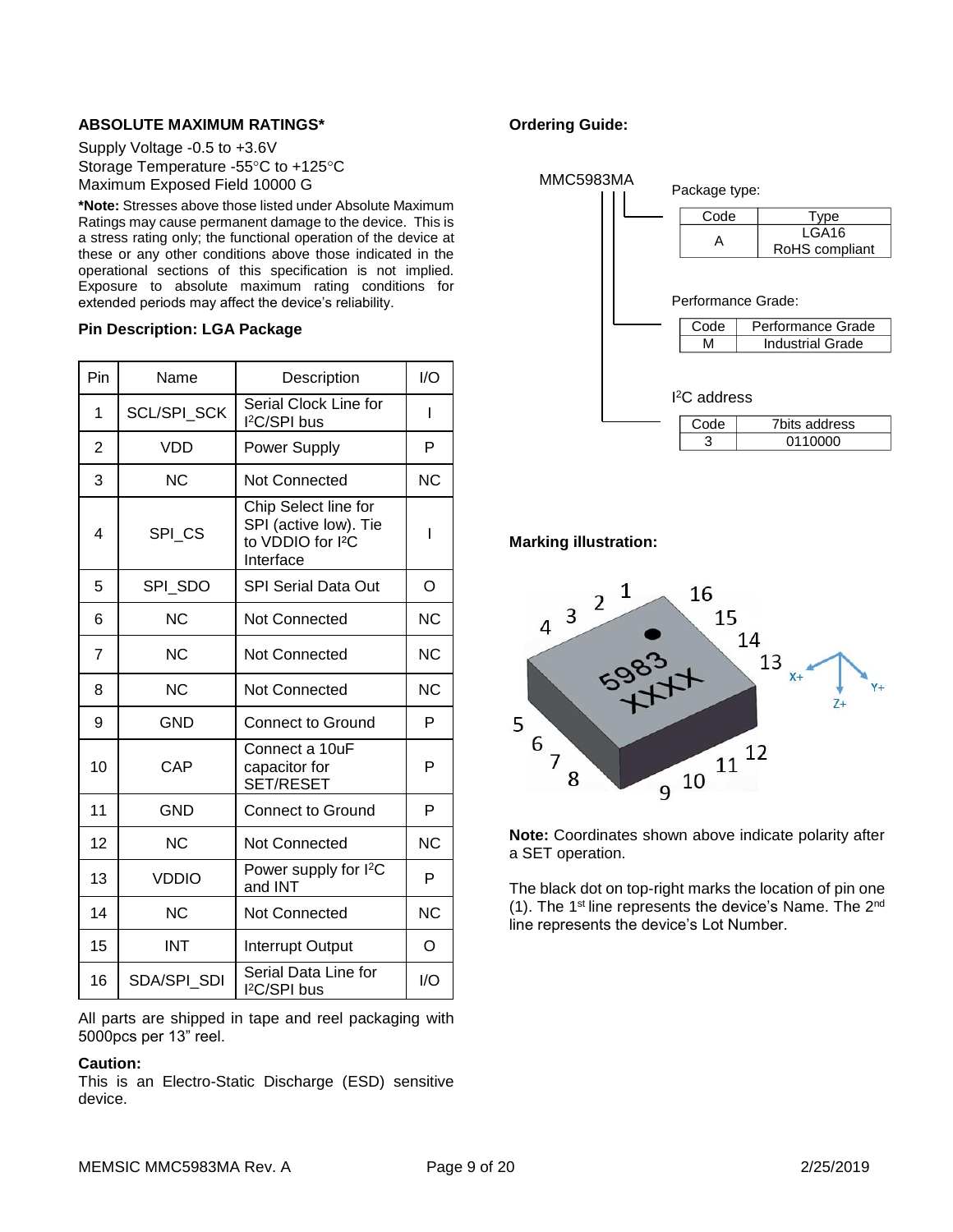## **ABSOLUTE MAXIMUM RATINGS\***

Supply Voltage -0.5 to +3.6V Storage Temperature -55°C to +125°C Maximum Exposed Field 10000 G

**\*Note:** Stresses above those listed under Absolute Maximum Ratings may cause permanent damage to the device. This is a stress rating only; the functional operation of the device at these or any other conditions above those indicated in the operational sections of this specification is not implied. Exposure to absolute maximum rating conditions for extended periods may affect the device's reliability.

#### **Pin Description: LGA Package**

| Pin            | Name           | Description                                                                                 | 1/O       |
|----------------|----------------|---------------------------------------------------------------------------------------------|-----------|
| 1              | SCL/SPI_SCK    | Serial Clock Line for<br>I <sup>2</sup> C/SPI bus                                           | I         |
| 2              | <b>VDD</b>     | <b>Power Supply</b>                                                                         | P         |
| 3              | <b>NC</b>      | <b>Not Connected</b>                                                                        | <b>NC</b> |
| 4              | SPI CS         | Chip Select line for<br>SPI (active low). Tie<br>to VDDIO for I <sup>2</sup> C<br>Interface | I         |
| 5              | SPI SDO        | <b>SPI Serial Data Out</b>                                                                  | O         |
| 6              | <b>NC</b>      | <b>Not Connected</b>                                                                        | <b>NC</b> |
| $\overline{7}$ | <b>NC</b>      | Not Connected                                                                               | <b>NC</b> |
| 8              | <b>NC</b>      | Not Connected                                                                               | <b>NC</b> |
| 9              | <b>GND</b>     | <b>Connect to Ground</b>                                                                    | P         |
| 10             | CAP            | Connect a 10uF<br>capacitor for<br>SET/RESET                                                | P         |
| 11             | <b>GND</b>     | <b>Connect to Ground</b>                                                                    | P         |
| 12             | N <sub>C</sub> | <b>Not Connected</b>                                                                        | <b>NC</b> |
| 13             | <b>VDDIO</b>   | Power supply for I <sup>2</sup> C<br>and INT                                                | P         |
| 14             | N <sub>C</sub> | Not Connected                                                                               | <b>NC</b> |
| 15             | <b>INT</b>     | <b>Interrupt Output</b>                                                                     | O         |
| 16             | SDA/SPI SDI    | Serial Data Line for<br>l <sup>2</sup> C/SPI bus                                            | I/O       |

All parts are shipped in tape and reel packaging with 5000pcs per 13" reel.

#### **Caution:**

This is an Electro-Static Discharge (ESD) sensitive device.

## **Ordering Guide:**



**Marking illustration:**



**Note:** Coordinates shown above indicate polarity after a SET operation.

The black dot on top-right marks the location of pin one (1). The 1<sup>st</sup> line represents the device's Name. The  $2<sup>nd</sup>$ line represents the device's Lot Number.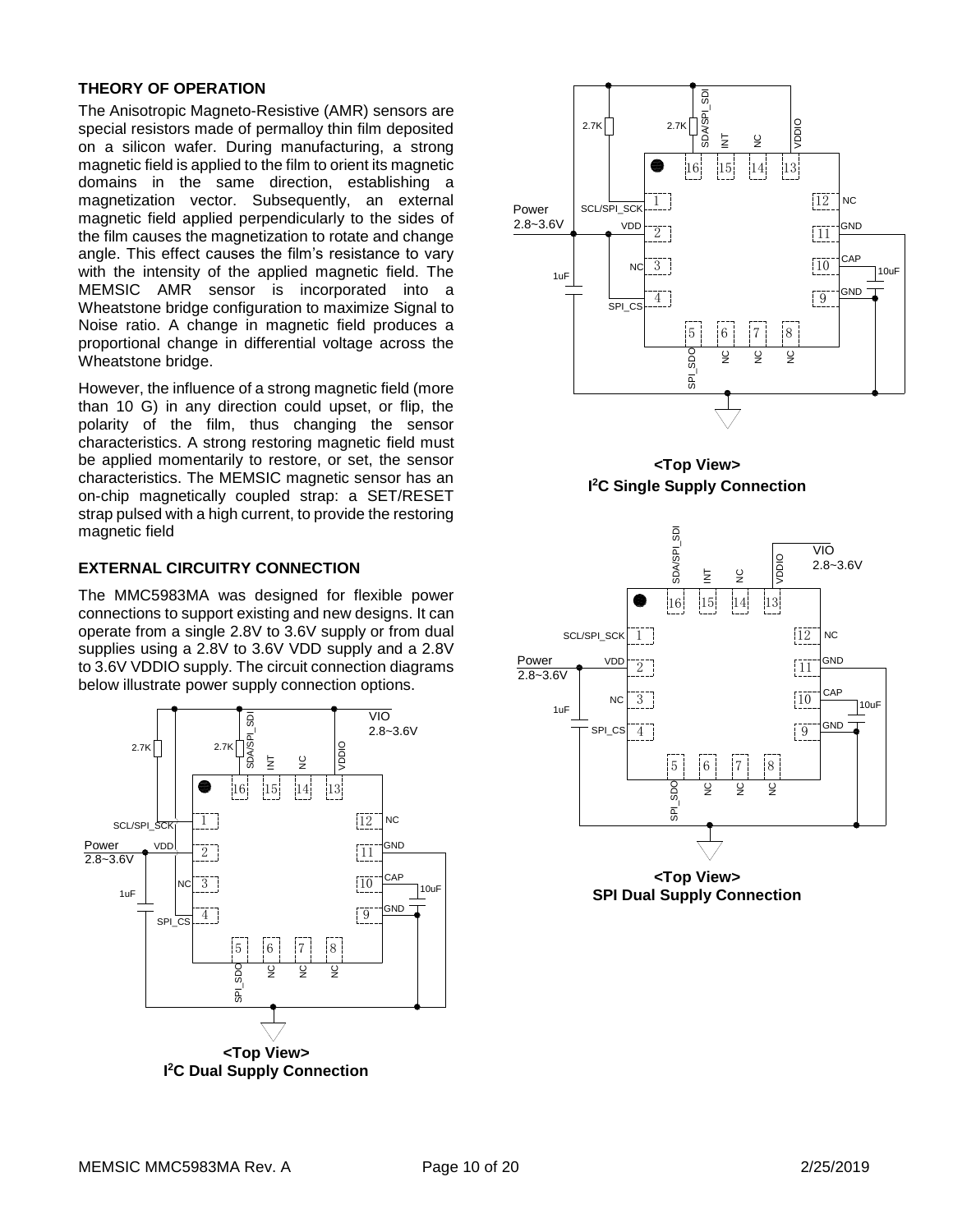## **THEORY OF OPERATION**

The Anisotropic Magneto-Resistive (AMR) sensors are special resistors made of permalloy thin film deposited on a silicon wafer. During manufacturing, a strong magnetic field is applied to the film to orient its magnetic domains in the same direction, establishing a magnetization vector. Subsequently, an external magnetic field applied perpendicularly to the sides of the film causes the magnetization to rotate and change angle. This effect causes the film's resistance to vary with the intensity of the applied magnetic field. The MEMSIC AMR sensor is incorporated into a Wheatstone bridge configuration to maximize Signal to Noise ratio. A change in magnetic field produces a proportional change in differential voltage across the Wheatstone bridge.

However, the influence of a strong magnetic field (more than 10 G) in any direction could upset, or flip, the polarity of the film, thus changing the sensor characteristics. A strong restoring magnetic field must be applied momentarily to restore, or set, the sensor characteristics. The MEMSIC magnetic sensor has an on-chip magnetically coupled strap: a SET/RESET strap pulsed with a high current, to provide the restoring magnetic field

## **EXTERNAL CIRCUITRY CONNECTION**

The MMC5983MA was designed for flexible power connections to support existing and new designs. It can operate from a single 2.8V to 3.6V supply or from dual supplies using a 2.8V to 3.6V VDD supply and a 2.8V to 3.6V VDDIO supply. The circuit connection diagrams below illustrate power supply connection options.









**<Top View> SPI Dual Supply Connection**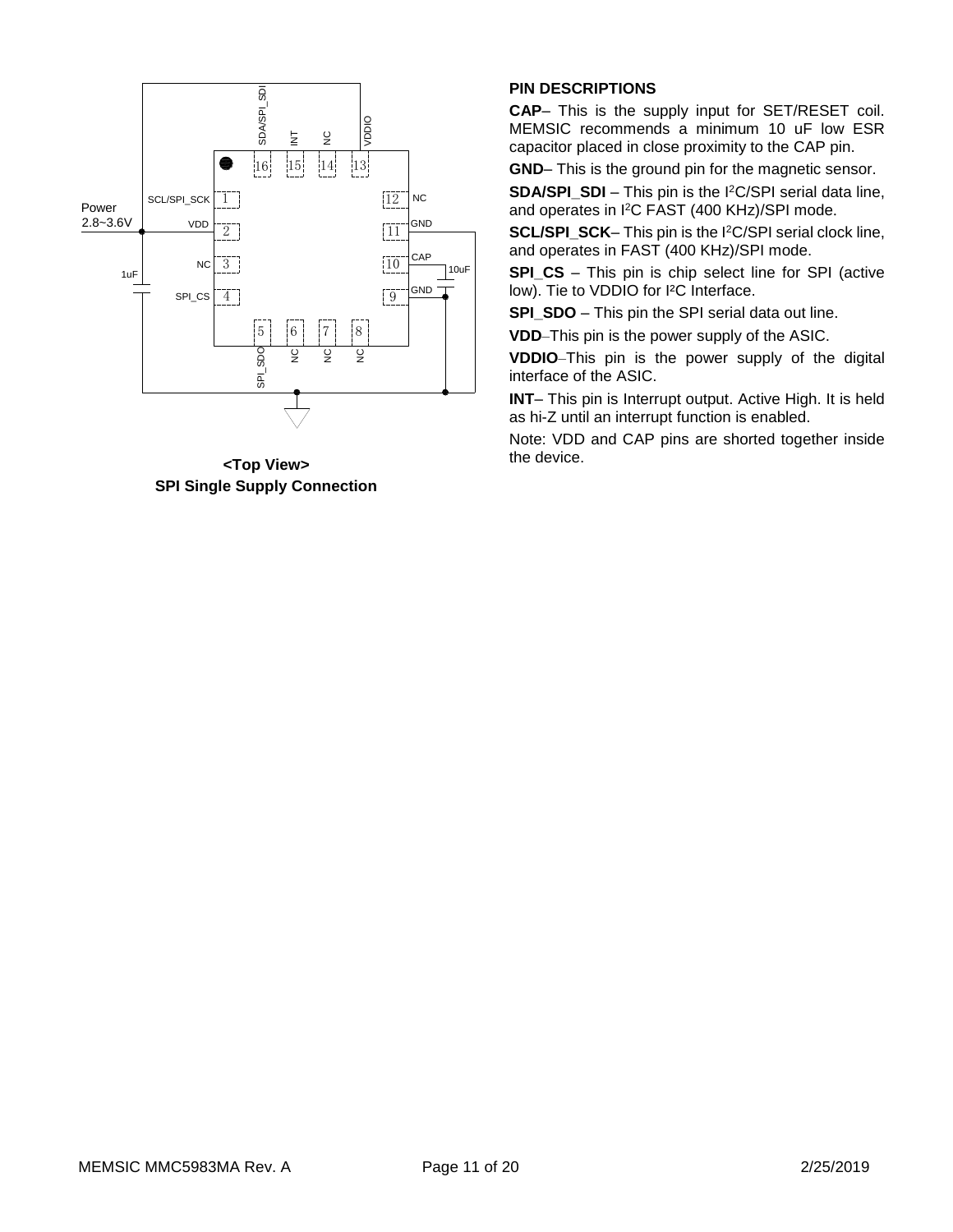

**<Top View> SPI Single Supply Connection**

## **PIN DESCRIPTIONS**

**CAP**– This is the supply input for SET/RESET coil. MEMSIC recommends a minimum 10 uF low ESR capacitor placed in close proximity to the CAP pin.

**GND**– This is the ground pin for the magnetic sensor.

**SDA/SPI\_SDI** – This pin is the I<sup>2</sup>C/SPI serial data line, and operates in I <sup>2</sup>C FAST (400 KHz)/SPI mode.

**SCL/SPI\_SCK**– This pin is the I<sup>2</sup>C/SPI serial clock line, and operates in FAST (400 KHz)/SPI mode.

**SPI\_CS** – This pin is chip select line for SPI (active low). Tie to VDDIO for I²C Interface.

**SPI\_SDO** – This pin the SPI serial data out line.

**VDD**–This pin is the power supply of the ASIC.

**VDDIO**–This pin is the power supply of the digital interface of the ASIC.

**INT**– This pin is Interrupt output. Active High. It is held as hi-Z until an interrupt function is enabled.

Note: VDD and CAP pins are shorted together inside the device.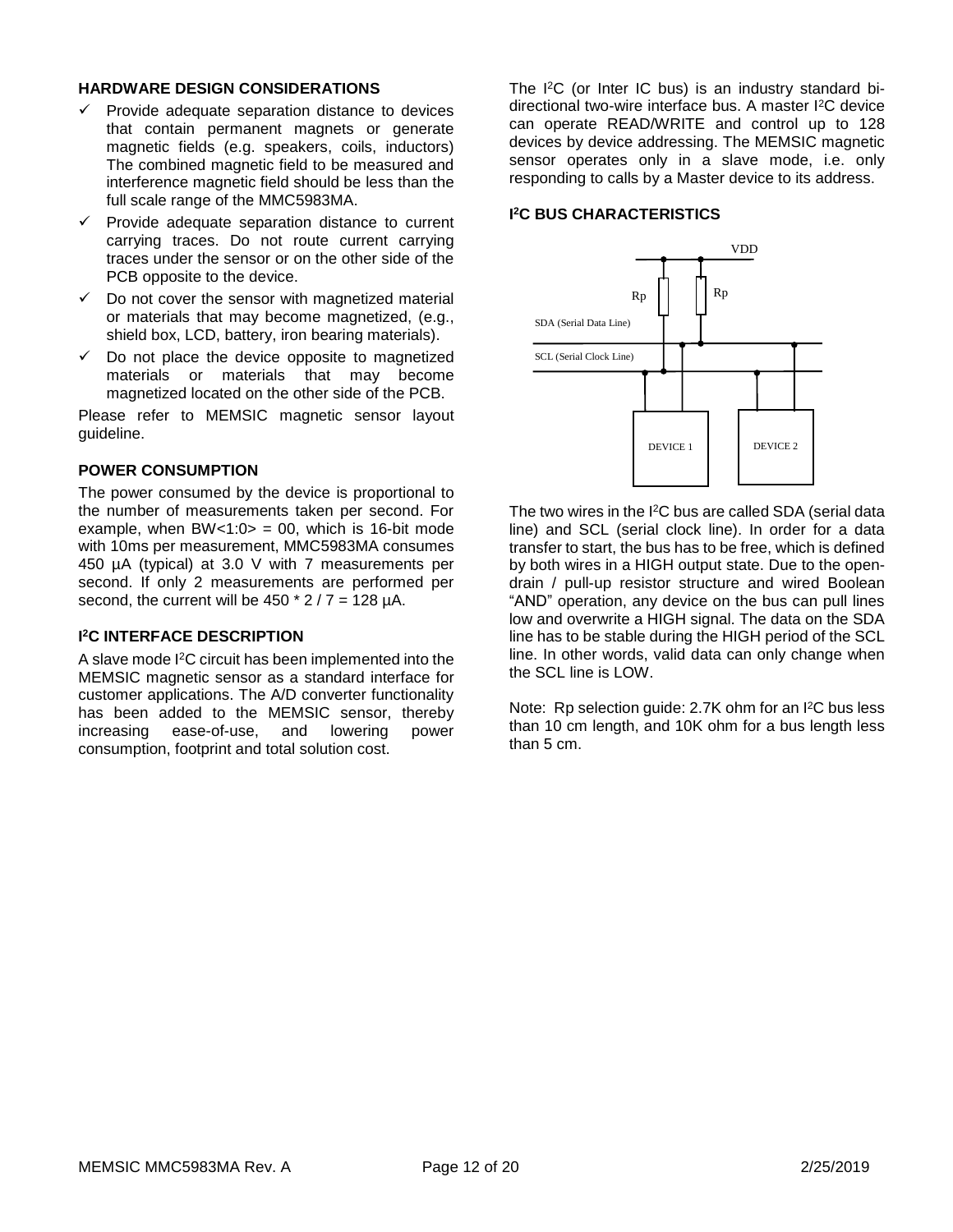## **HARDWARE DESIGN CONSIDERATIONS**

- $\checkmark$  Provide adequate separation distance to devices that contain permanent magnets or generate magnetic fields (e.g. speakers, coils, inductors) The combined magnetic field to be measured and interference magnetic field should be less than the full scale range of the MMC5983MA.
- ✓ Provide adequate separation distance to current carrying traces. Do not route current carrying traces under the sensor or on the other side of the PCB opposite to the device.
- $\checkmark$  Do not cover the sensor with magnetized material or materials that may become magnetized, (e.g., shield box, LCD, battery, iron bearing materials).
- $\checkmark$  Do not place the device opposite to magnetized materials or materials that may become magnetized located on the other side of the PCB.

Please refer to MEMSIC magnetic sensor layout guideline.

## **POWER CONSUMPTION**

The power consumed by the device is proportional to the number of measurements taken per second. For example, when  $BW < 1:0 > 0.0$ , which is 16-bit mode with 10ms per measurement, MMC5983MA consumes 450 µA (typical) at 3.0 V with 7 measurements per second. If only 2 measurements are performed per second, the current will be  $450 * 2 / 7 = 128 \mu A$ .

#### **I <sup>2</sup>C INTERFACE DESCRIPTION**

A slave mode I<sup>2</sup>C circuit has been implemented into the MEMSIC magnetic sensor as a standard interface for customer applications. The A/D converter functionality has been added to the MEMSIC sensor, thereby<br>increasing ease-of-use, and lowering power increasing ease-of-use, and lowering power consumption, footprint and total solution cost.

The I<sup>2</sup>C (or Inter IC bus) is an industry standard bidirectional two-wire interface bus. A master I<sup>2</sup>C device can operate READ/WRITE and control up to 128 devices by device addressing. The MEMSIC magnetic sensor operates only in a slave mode, i.e. only responding to calls by a Master device to its address.

#### **I <sup>2</sup>C BUS CHARACTERISTICS**



The two wires in the I<sup>2</sup>C bus are called SDA (serial data line) and SCL (serial clock line). In order for a data transfer to start, the bus has to be free, which is defined by both wires in a HIGH output state. Due to the opendrain / pull-up resistor structure and wired Boolean "AND" operation, any device on the bus can pull lines low and overwrite a HIGH signal. The data on the SDA line has to be stable during the HIGH period of the SCL line. In other words, valid data can only change when the SCL line is LOW.

Note: Rp selection guide: 2.7K ohm for an I <sup>2</sup>C bus less than 10 cm length, and 10K ohm for a bus length less than 5 cm.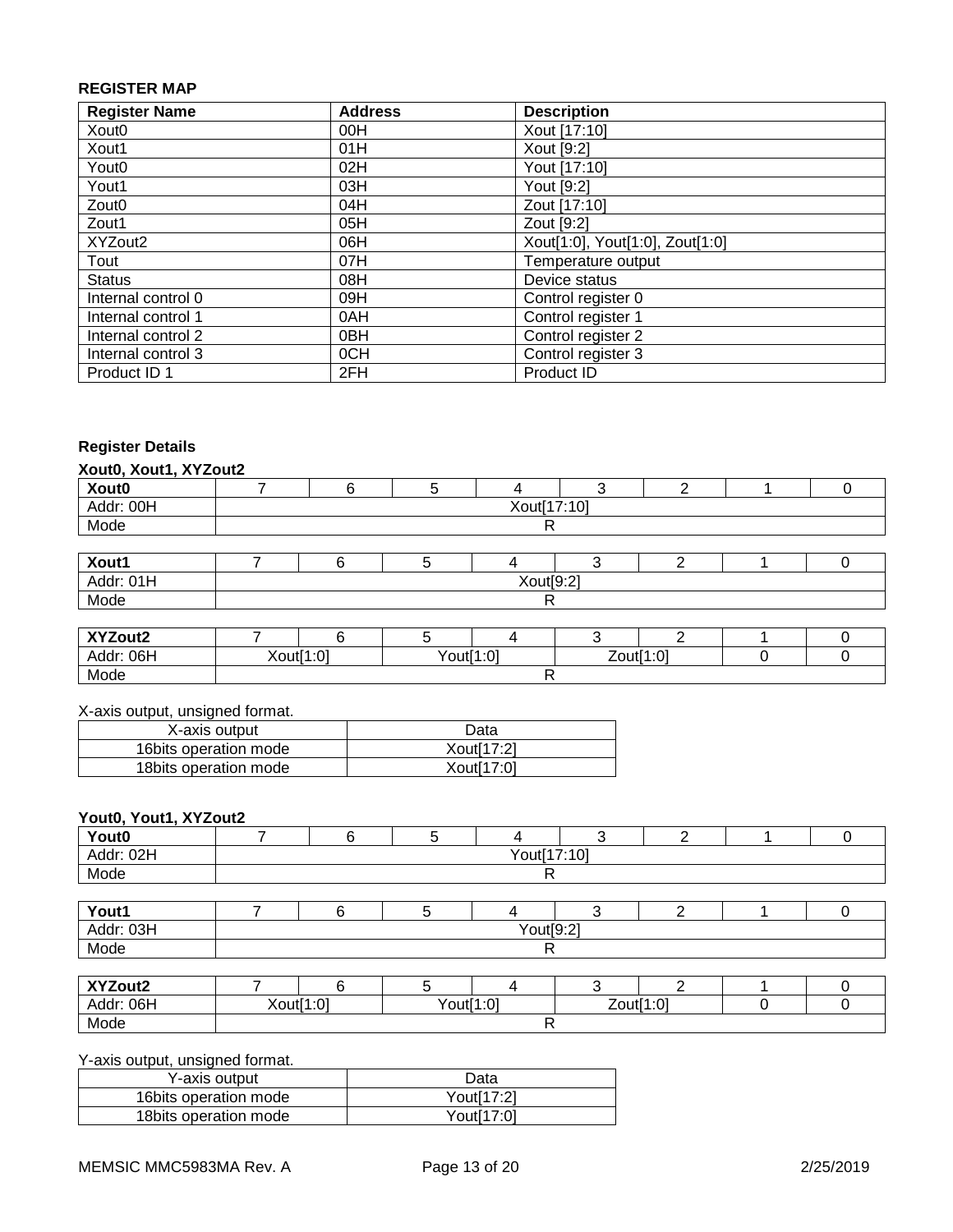## **REGISTER MAP**

| <b>Register Name</b> | <b>Address</b>  | <b>Description</b>              |
|----------------------|-----------------|---------------------------------|
| Xout0                | 00H             | Xout [17:10]                    |
| Xout1                | 01H             | Xout [9:2]                      |
| Yout <sub>0</sub>    | 02H             | Yout [17:10]                    |
| Yout1                | 03H             | Yout [9:2]                      |
| Zout <sub>0</sub>    | 04H             | Zout [17:10]                    |
| Zout1                | 05H             | Zout [9:2]                      |
| XYZout2              | 06H             | Xout[1:0], Yout[1:0], Zout[1:0] |
| Tout                 | 07H             | Temperature output              |
| <b>Status</b>        | 08H             | Device status                   |
| Internal control 0   | 09H             | Control register 0              |
| Internal control 1   | 0AH             | Control register 1              |
| Internal control 2   | 0 <sub>BH</sub> | Control register 2              |
| Internal control 3   | 0CH             | Control register 3              |
| Product ID 1         | 2FH             | Product ID                      |

## **Register Details**

|  | Xout0, Xout1, XYZout2 |
|--|-----------------------|
|  |                       |

| Xout0     |             |  |  |  |  |  |  |  |
|-----------|-------------|--|--|--|--|--|--|--|
| Addr: 00H | Xout[17:10] |  |  |  |  |  |  |  |
| Mode      |             |  |  |  |  |  |  |  |
|           |             |  |  |  |  |  |  |  |
| Xout1     |             |  |  |  |  |  |  |  |
| Addr: 01H | Xout[9:2]   |  |  |  |  |  |  |  |
| Mode      |             |  |  |  |  |  |  |  |
|           |             |  |  |  |  |  |  |  |
| XYZout2   |             |  |  |  |  |  |  |  |

| 06F<br>Addr <sup>.</sup> | $\cdot \cdot \cap$<br>ו+ו ו∧ ∨<br>$\sim$ | $\sim$<br>'out∣<br>. | $\cdot$ $\sim$<br>∕∩เ⊯ี<br>. |  |  |
|--------------------------|------------------------------------------|----------------------|------------------------------|--|--|
| Mode                     |                                          |                      |                              |  |  |

## X-axis output, unsigned format.

| X-axis output          | Data                    |
|------------------------|-------------------------|
| 16 bits operation mode | Xout <sup>[17:2]</sup>  |
| 18 bits operation mode | Xout <sub>[17:0</sub> ] |

## **Yout0, Yout1, XYZout2**

| Yout0     |             |  |  |  |  |  |  |  |
|-----------|-------------|--|--|--|--|--|--|--|
| Addr: 02H | Yout[17:10] |  |  |  |  |  |  |  |
| Mode      |             |  |  |  |  |  |  |  |
|           |             |  |  |  |  |  |  |  |
| Yout1     |             |  |  |  |  |  |  |  |
| Addr: 03H | Yout[9:2]   |  |  |  |  |  |  |  |
| Mode      |             |  |  |  |  |  |  |  |

| XYZout2   |           |           |  |           |  |  |
|-----------|-----------|-----------|--|-----------|--|--|
| Addr: 06H | Xout[1:0] | Yout[1:0] |  | Zout[1:0] |  |  |
| Mode      |           |           |  |           |  |  |

Y-axis output, unsigned format.

| Y-axis output          | Data       |
|------------------------|------------|
| 16bits operation mode  | Yout[17:2] |
| 18 bits operation mode | Yout[17:0] |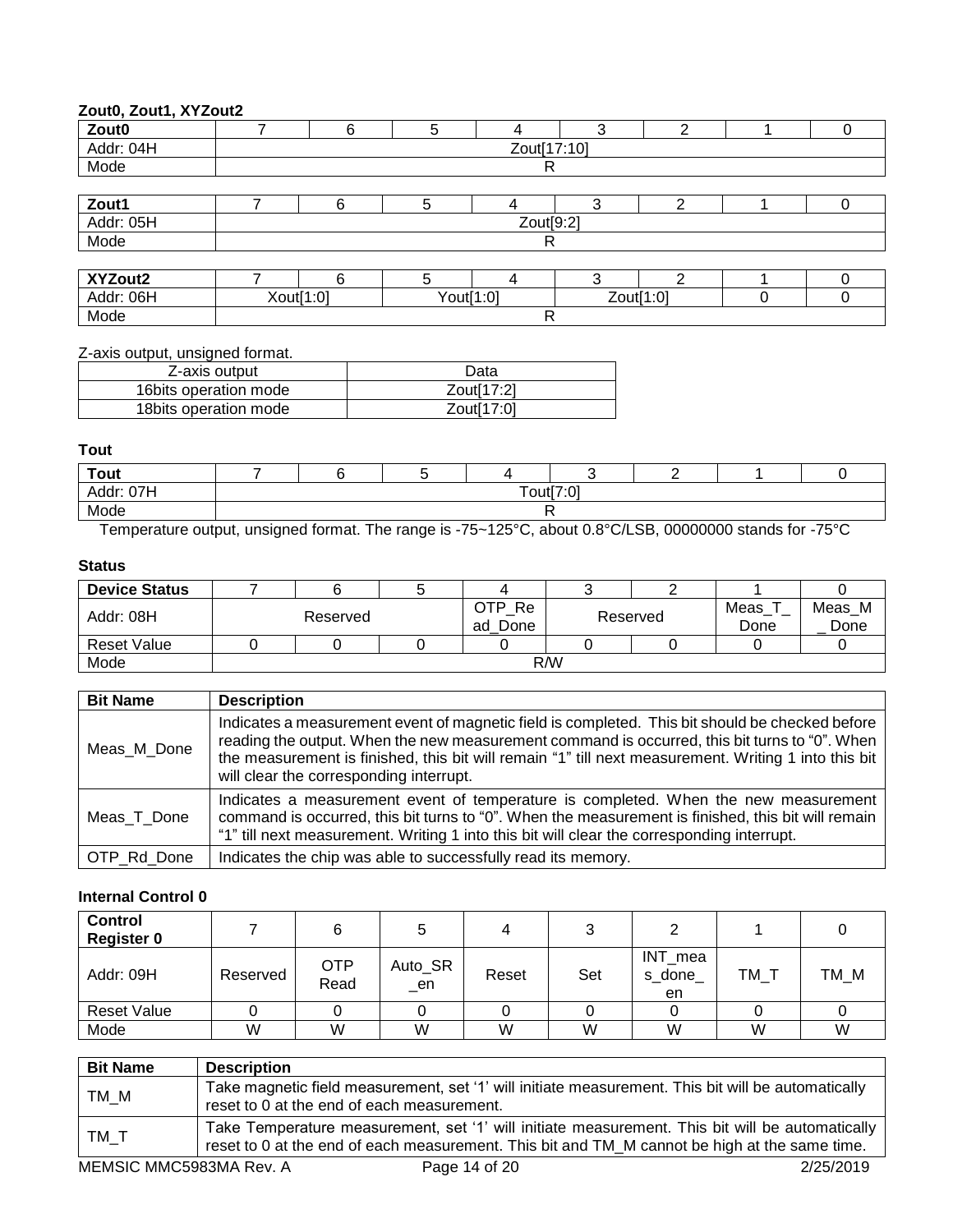## **Zout0, Zout1, XYZout2**

| ==================== |             |                        |   |           |           |   |  |   |  |  |  |  |
|----------------------|-------------|------------------------|---|-----------|-----------|---|--|---|--|--|--|--|
| Zout0                |             | 6                      | 5 | 4         | 3         | C |  |   |  |  |  |  |
| Addr: 04H            | Zout[17:10] |                        |   |           |           |   |  |   |  |  |  |  |
| Mode                 |             | R                      |   |           |           |   |  |   |  |  |  |  |
|                      |             |                        |   |           |           |   |  |   |  |  |  |  |
| Zout1                |             | 6                      | 5 |           | 3         | ົ |  | U |  |  |  |  |
| Addr: 05H            |             |                        |   | Zout[9:2] |           |   |  |   |  |  |  |  |
| Mode                 |             |                        |   | R         |           |   |  |   |  |  |  |  |
|                      |             |                        |   |           |           |   |  |   |  |  |  |  |
| XYZout2              |             | 6                      | 5 | 4         | 3         | っ |  |   |  |  |  |  |
| Addr: 06H            |             | Xout[1:0]<br>Yout[1:0] |   |           | Zout[1:0] |   |  |   |  |  |  |  |
| Mode                 | R           |                        |   |           |           |   |  |   |  |  |  |  |

Z-axis output, unsigned format.

| Z-axis output          | Data       |
|------------------------|------------|
|                        |            |
| 16 bits operation mode | Zout[17:2] |
| 18 bits operation mode | Zout[17:0] |

#### **Tout**

| <b>Tout</b>              |           |  |  |  |  |  |  |  |  |  |  |
|--------------------------|-----------|--|--|--|--|--|--|--|--|--|--|
| 07H<br>Addr <sup>.</sup> | Tout[7:0] |  |  |  |  |  |  |  |  |  |  |
| Mode                     |           |  |  |  |  |  |  |  |  |  |  |

Temperature output, unsigned format. The range is -75~125°C, about 0.8°C/LSB, 00000000 stands for -75°C

## **Status**

| <b>Device Status</b> |          |  |  |                         |  |          |              |                |  |
|----------------------|----------|--|--|-------------------------|--|----------|--------------|----------------|--|
| Addr: 08H            | Reserved |  |  | OTP<br>Re<br>Done<br>ad |  | Reserved | Meas<br>Done | Meas M<br>Done |  |
| <b>Reset Value</b>   |          |  |  |                         |  |          |              |                |  |
| Mode                 | R/W      |  |  |                         |  |          |              |                |  |

| <b>Bit Name</b> | <b>Description</b>                                                                                                                                                                                                                                                                                                                                    |
|-----------------|-------------------------------------------------------------------------------------------------------------------------------------------------------------------------------------------------------------------------------------------------------------------------------------------------------------------------------------------------------|
| Meas M Done     | Indicates a measurement event of magnetic field is completed. This bit should be checked before<br>reading the output. When the new measurement command is occurred, this bit turns to "0". When  <br>the measurement is finished, this bit will remain "1" till next measurement. Writing 1 into this bit<br>will clear the corresponding interrupt. |
| Meas T Done     | Indicates a measurement event of temperature is completed. When the new measurement<br>command is occurred, this bit turns to "0". When the measurement is finished, this bit will remain<br>"1" till next measurement. Writing 1 into this bit will clear the corresponding interrupt.                                                               |
| OTP Rd Done     | Indicates the chip was able to successfully read its memory.                                                                                                                                                                                                                                                                                          |

## **Internal Control 0**

| <b>Control</b><br><b>Register 0</b> |          |                    |                |       |     |                         |    |      |
|-------------------------------------|----------|--------------------|----------------|-------|-----|-------------------------|----|------|
| Addr: 09H                           | Reserved | <b>OTP</b><br>Read | Auto_SR<br>_en | Reset | Set | INT_mea<br>s done<br>en | TM | TM M |
| <b>Reset Value</b>                  |          |                    |                |       |     |                         |    |      |
| Mode                                | W        | W                  | W              | W     | W   | W                       | W  | W    |

| <b>Bit Name</b> | <b>Description</b>                                                                                                                                                                               |
|-----------------|--------------------------------------------------------------------------------------------------------------------------------------------------------------------------------------------------|
| TM M            | Take magnetic field measurement, set '1' will initiate measurement. This bit will be automatically<br>reset to 0 at the end of each measurement.                                                 |
| TM_T            | Take Temperature measurement, set '1' will initiate measurement. This bit will be automatically<br>reset to 0 at the end of each measurement. This bit and TM_M cannot be high at the same time. |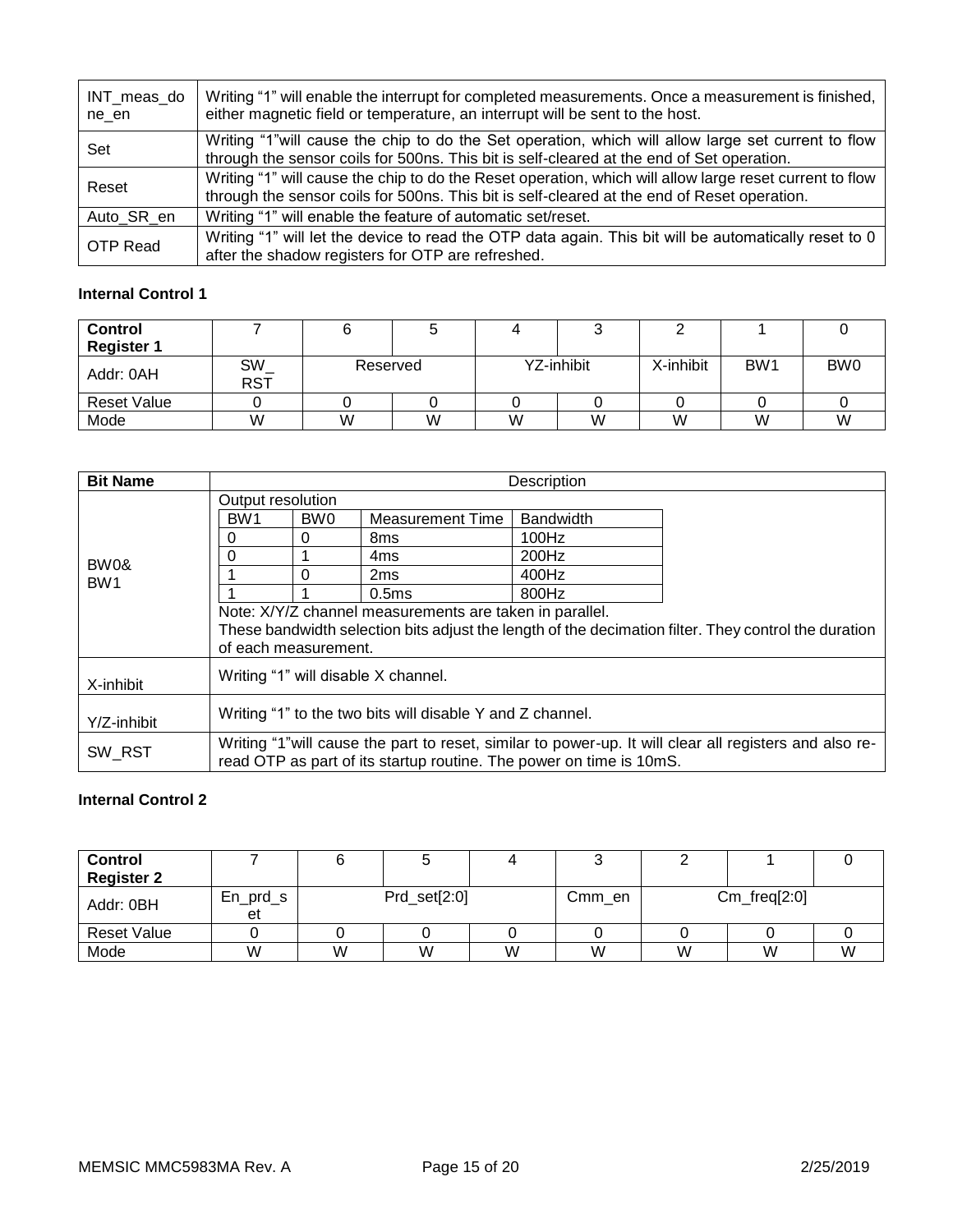| INT_meas_do<br>ne en | Writing "1" will enable the interrupt for completed measurements. Once a measurement is finished,<br>either magnetic field or temperature, an interrupt will be sent to the host.                      |
|----------------------|--------------------------------------------------------------------------------------------------------------------------------------------------------------------------------------------------------|
| Set                  | Writing "1" will cause the chip to do the Set operation, which will allow large set current to flow<br>through the sensor coils for 500ns. This bit is self-cleared at the end of Set operation.       |
| Reset                | Writing "1" will cause the chip to do the Reset operation, which will allow large reset current to flow<br>through the sensor coils for 500ns. This bit is self-cleared at the end of Reset operation. |
| Auto SR en           | Writing "1" will enable the feature of automatic set/reset.                                                                                                                                            |
| <b>OTP Read</b>      | Writing "1" will let the device to read the OTP data again. This bit will be automatically reset to 0<br>after the shadow registers for OTP are refreshed.                                             |

## **Internal Control 1**

| <b>Control</b>     |                     |          |   |            |   |           |                 |                 |
|--------------------|---------------------|----------|---|------------|---|-----------|-----------------|-----------------|
| <b>Register 1</b>  |                     |          |   |            |   |           |                 |                 |
| Addr: 0AH          | $SW_$<br><b>RST</b> | Reserved |   | YZ-inhibit |   | X-inhibit | BW <sub>1</sub> | BW <sub>0</sub> |
| <b>Reset Value</b> |                     |          |   |            |   |           |                 |                 |
| Mode               | W                   | W        | W | W          | W | W         | W               | W               |

| <b>Bit Name</b>         | <b>Description</b>                                                                                      |                 |                                                           |                                                                     |  |  |  |  |  |  |
|-------------------------|---------------------------------------------------------------------------------------------------------|-----------------|-----------------------------------------------------------|---------------------------------------------------------------------|--|--|--|--|--|--|
|                         | Output resolution                                                                                       |                 |                                                           |                                                                     |  |  |  |  |  |  |
|                         | BW <sub>1</sub>                                                                                         | BW <sub>0</sub> | <b>Measurement Time</b>                                   | <b>Bandwidth</b>                                                    |  |  |  |  |  |  |
|                         | 0                                                                                                       | 0               | 8 <sub>ms</sub>                                           | 100Hz                                                               |  |  |  |  |  |  |
|                         | 0                                                                                                       |                 | 4ms                                                       | 200Hz                                                               |  |  |  |  |  |  |
| BW0&<br>BW <sub>1</sub> |                                                                                                         | 0               | 2 <sub>ms</sub>                                           | 400Hz                                                               |  |  |  |  |  |  |
|                         |                                                                                                         |                 | 0.5ms                                                     | 800Hz                                                               |  |  |  |  |  |  |
|                         | Note: X/Y/Z channel measurements are taken in parallel.                                                 |                 |                                                           |                                                                     |  |  |  |  |  |  |
|                         | These bandwidth selection bits adjust the length of the decimation filter. They control the duration    |                 |                                                           |                                                                     |  |  |  |  |  |  |
|                         | of each measurement.                                                                                    |                 |                                                           |                                                                     |  |  |  |  |  |  |
|                         |                                                                                                         |                 | Writing "1" will disable X channel.                       |                                                                     |  |  |  |  |  |  |
| X-inhibit               |                                                                                                         |                 |                                                           |                                                                     |  |  |  |  |  |  |
|                         |                                                                                                         |                 | Writing "1" to the two bits will disable Y and Z channel. |                                                                     |  |  |  |  |  |  |
| Y/Z-inhibit             |                                                                                                         |                 |                                                           |                                                                     |  |  |  |  |  |  |
|                         | Writing "1" will cause the part to reset, similar to power-up. It will clear all registers and also re- |                 |                                                           |                                                                     |  |  |  |  |  |  |
| SW RST                  |                                                                                                         |                 |                                                           | read OTP as part of its startup routine. The power on time is 10mS. |  |  |  |  |  |  |

## **Internal Control 2**

| <b>Control</b><br><b>Register 2</b> |                  |              |   |   |        |                |   |   |
|-------------------------------------|------------------|--------------|---|---|--------|----------------|---|---|
| Addr: 0BH                           | $En_prd_s$<br>et | Prd_set[2:0] |   |   | Cmm_en | $Cm_freq[2:0]$ |   |   |
| <b>Reset Value</b>                  |                  |              |   |   |        |                |   |   |
| Mode                                | W                | W            | W | W | W      | W              | W | W |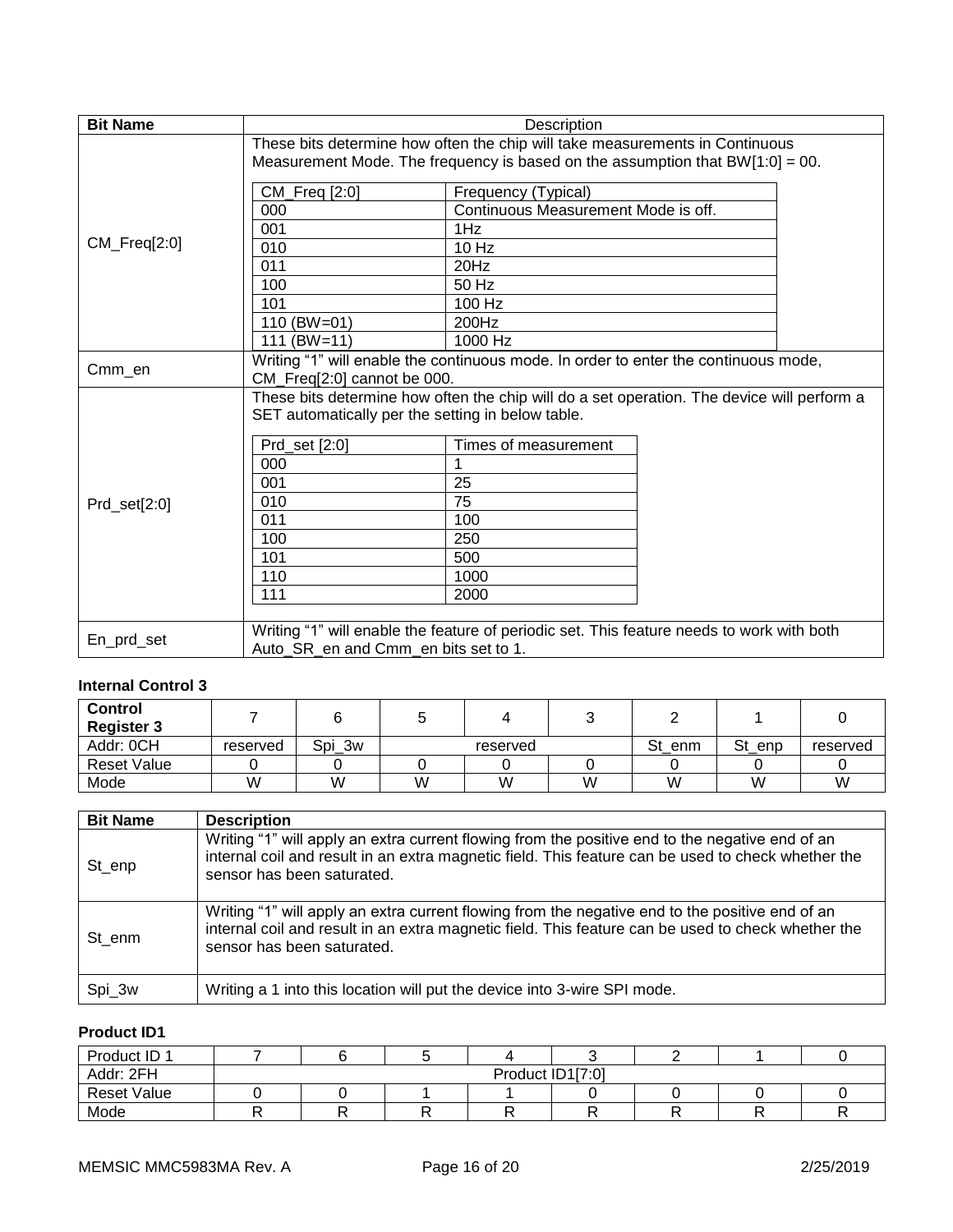| <b>Bit Name</b> | Description                                                                                                                                                      |                                                                                                                                                                                   |  |  |  |  |
|-----------------|------------------------------------------------------------------------------------------------------------------------------------------------------------------|-----------------------------------------------------------------------------------------------------------------------------------------------------------------------------------|--|--|--|--|
|                 | These bits determine how often the chip will take measurements in Continuous<br>Measurement Mode. The frequency is based on the assumption that $BW[1:0] = 00$ . |                                                                                                                                                                                   |  |  |  |  |
| CM_Freq[2:0]    | CM_Freq [2:0]                                                                                                                                                    | Frequency (Typical)                                                                                                                                                               |  |  |  |  |
|                 | 000                                                                                                                                                              | Continuous Measurement Mode is off.                                                                                                                                               |  |  |  |  |
|                 | 001                                                                                                                                                              | 1Hz                                                                                                                                                                               |  |  |  |  |
|                 | 010                                                                                                                                                              | $10$ Hz                                                                                                                                                                           |  |  |  |  |
|                 | 011                                                                                                                                                              | 20Hz                                                                                                                                                                              |  |  |  |  |
|                 | 100                                                                                                                                                              | 50 Hz                                                                                                                                                                             |  |  |  |  |
|                 | 101                                                                                                                                                              | $100$ Hz                                                                                                                                                                          |  |  |  |  |
|                 | 110 (BW=01)                                                                                                                                                      | 200Hz                                                                                                                                                                             |  |  |  |  |
|                 | $111 (BW=11)$                                                                                                                                                    | 1000 Hz                                                                                                                                                                           |  |  |  |  |
| Cmm_en          | CM_Freq[2:0] cannot be 000.                                                                                                                                      | Writing "1" will enable the continuous mode. In order to enter the continuous mode,<br>These bits determine how often the chip will do a set operation. The device will perform a |  |  |  |  |
|                 | SET automatically per the setting in below table.                                                                                                                |                                                                                                                                                                                   |  |  |  |  |
|                 | Prd_set [2:0]                                                                                                                                                    | Times of measurement                                                                                                                                                              |  |  |  |  |
|                 | 000                                                                                                                                                              |                                                                                                                                                                                   |  |  |  |  |
|                 | 001                                                                                                                                                              | 25                                                                                                                                                                                |  |  |  |  |
| Prd_set[2:0]    | 010                                                                                                                                                              | 75                                                                                                                                                                                |  |  |  |  |
|                 | 011                                                                                                                                                              | 100                                                                                                                                                                               |  |  |  |  |
|                 | 100                                                                                                                                                              | 250                                                                                                                                                                               |  |  |  |  |
|                 | 101                                                                                                                                                              | 500                                                                                                                                                                               |  |  |  |  |
|                 | 110                                                                                                                                                              | 1000                                                                                                                                                                              |  |  |  |  |
|                 | 111                                                                                                                                                              | 2000                                                                                                                                                                              |  |  |  |  |
| En_prd_set      | Writing "1" will enable the feature of periodic set. This feature needs to work with both<br>Auto SR en and Cmm en bits set to 1.                                |                                                                                                                                                                                   |  |  |  |  |

## **Internal Control 3**

| <b>Control</b><br><b>Register 3</b> |          |        |          |   |   |           |        |          |
|-------------------------------------|----------|--------|----------|---|---|-----------|--------|----------|
| Addr: 0CH                           | reserved | Spi 3w | reserved |   |   | St<br>enm | St_enp | reserved |
| <b>Reset Value</b>                  |          |        |          |   |   |           |        |          |
| Mode                                | W        | W      | W        | W | W | W         | W      | W        |

| <b>Bit Name</b> | <b>Description</b>                                                                                                                                                                                                                  |
|-----------------|-------------------------------------------------------------------------------------------------------------------------------------------------------------------------------------------------------------------------------------|
| St_enp          | Writing "1" will apply an extra current flowing from the positive end to the negative end of an<br>internal coil and result in an extra magnetic field. This feature can be used to check whether the<br>sensor has been saturated. |
| St enm          | Writing "1" will apply an extra current flowing from the negative end to the positive end of an<br>internal coil and result in an extra magnetic field. This feature can be used to check whether the<br>sensor has been saturated. |
| Spi_3w          | Writing a 1 into this location will put the device into 3-wire SPI mode.                                                                                                                                                            |

# **Product ID1**

| Product ID 1       |                  |  |  |  |  |  |  |  |
|--------------------|------------------|--|--|--|--|--|--|--|
| Addr: 2FH          | Product ID1[7:0] |  |  |  |  |  |  |  |
| <b>Reset Value</b> |                  |  |  |  |  |  |  |  |
| Mode               |                  |  |  |  |  |  |  |  |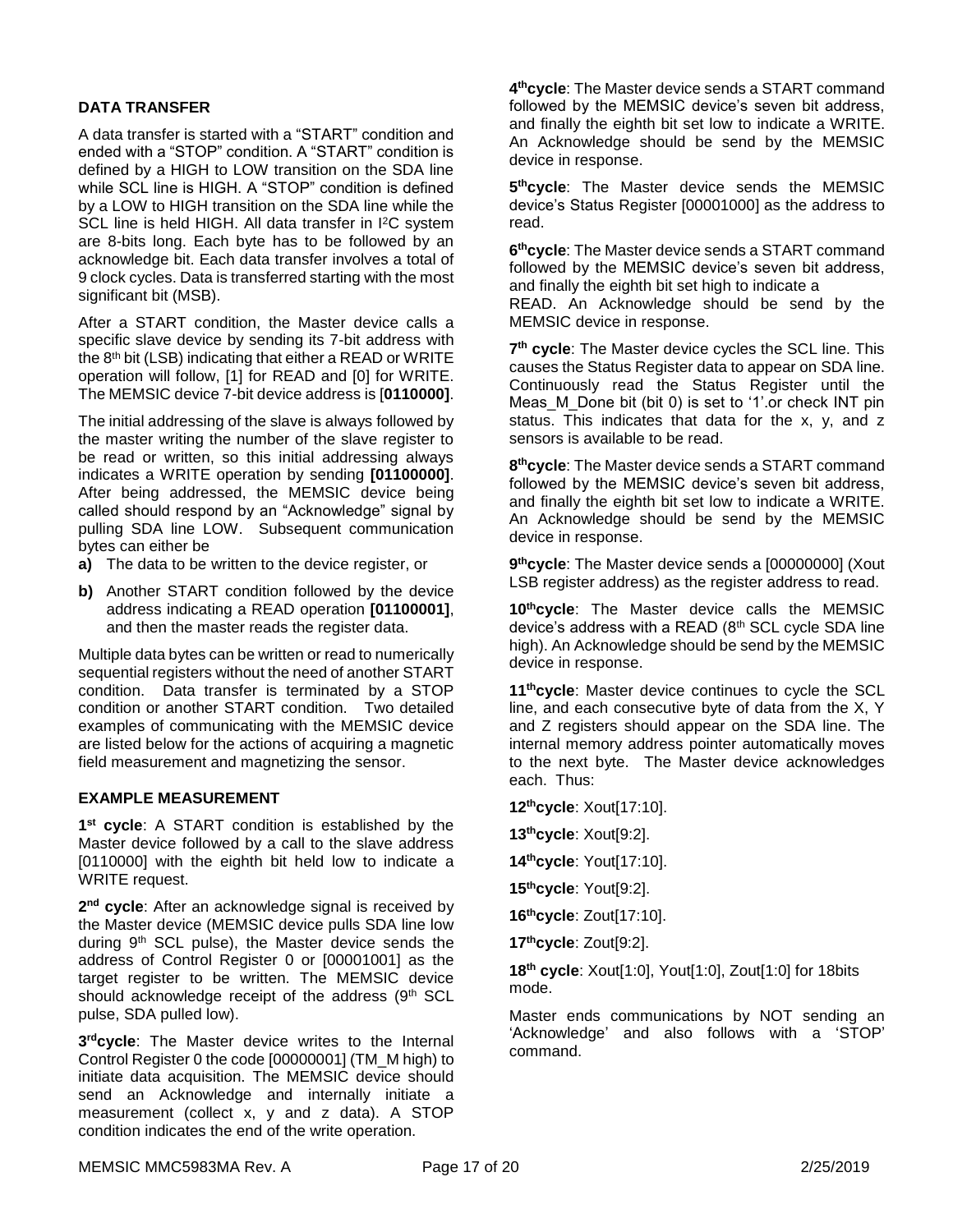## **DATA TRANSFER**

A data transfer is started with a "START" condition and ended with a "STOP" condition. A "START" condition is defined by a HIGH to LOW transition on the SDA line while SCL line is HIGH. A "STOP" condition is defined by a LOW to HIGH transition on the SDA line while the SCL line is held HIGH. All data transfer in I<sup>2</sup>C system are 8-bits long. Each byte has to be followed by an acknowledge bit. Each data transfer involves a total of 9 clock cycles. Data is transferred starting with the most significant bit (MSB).

After a START condition, the Master device calls a specific slave device by sending its 7-bit address with the 8<sup>th</sup> bit (LSB) indicating that either a READ or WRITE operation will follow, [1] for READ and [0] for WRITE. The MEMSIC device 7-bit device address is [**0110000]**.

The initial addressing of the slave is always followed by the master writing the number of the slave register to be read or written, so this initial addressing always indicates a WRITE operation by sending **[01100000]**. After being addressed, the MEMSIC device being called should respond by an "Acknowledge" signal by pulling SDA line LOW. Subsequent communication bytes can either be

- **a)** The data to be written to the device register, or
- **b)** Another START condition followed by the device address indicating a READ operation **[01100001]**, and then the master reads the register data.

Multiple data bytes can be written or read to numerically sequential registers without the need of another START condition. Data transfer is terminated by a STOP condition or another START condition. Two detailed examples of communicating with the MEMSIC device are listed below for the actions of acquiring a magnetic field measurement and magnetizing the sensor.

#### **EXAMPLE MEASUREMENT**

**1 st cycle**: A START condition is established by the Master device followed by a call to the slave address [0110000] with the eighth bit held low to indicate a WRITE request.

**2 nd cycle**: After an acknowledge signal is received by the Master device (MEMSIC device pulls SDA line low during 9<sup>th</sup> SCL pulse), the Master device sends the address of Control Register 0 or [00001001] as the target register to be written. The MEMSIC device should acknowledge receipt of the address (9th SCL pulse, SDA pulled low).

**3 rdcycle**: The Master device writes to the Internal Control Register 0 the code [00000001] (TM\_M high) to initiate data acquisition. The MEMSIC device should send an Acknowledge and internally initiate a measurement (collect x, y and z data). A STOP condition indicates the end of the write operation.

**4 thcycle**: The Master device sends a START command followed by the MEMSIC device's seven bit address, and finally the eighth bit set low to indicate a WRITE. An Acknowledge should be send by the MEMSIC device in response.

**5 thcycle**: The Master device sends the MEMSIC device's Status Register [00001000] as the address to read.

**6 thcycle**: The Master device sends a START command followed by the MEMSIC device's seven bit address, and finally the eighth bit set high to indicate a READ. An Acknowledge should be send by the MEMSIC device in response.

7<sup>th</sup> cycle: The Master device cycles the SCL line. This causes the Status Register data to appear on SDA line. Continuously read the Status Register until the Meas M Done bit (bit 0) is set to '1'.or check INT pin status. This indicates that data for the x, y, and z sensors is available to be read.

**8 thcycle**: The Master device sends a START command followed by the MEMSIC device's seven bit address, and finally the eighth bit set low to indicate a WRITE. An Acknowledge should be send by the MEMSIC device in response.

**9 thcycle**: The Master device sends a [00000000] (Xout LSB register address) as the register address to read.

**10thcycle**: The Master device calls the MEMSIC device's address with a READ (8th SCL cycle SDA line high). An Acknowledge should be send by the MEMSIC device in response.

**11thcycle**: Master device continues to cycle the SCL line, and each consecutive byte of data from the X, Y and Z registers should appear on the SDA line. The internal memory address pointer automatically moves to the next byte. The Master device acknowledges each. Thus:

**12thcycle**: Xout[17:10].

**13thcycle**: Xout[9:2].

**14thcycle**: Yout[17:10].

**15thcycle**: Yout[9:2].

**16thcycle**: Zout[17:10].

**17thcycle**: Zout[9:2].

**18 th cycle**: Xout[1:0], Yout[1:0], Zout[1:0] for 18bits mode.

Master ends communications by NOT sending an 'Acknowledge' and also follows with a 'STOP' command.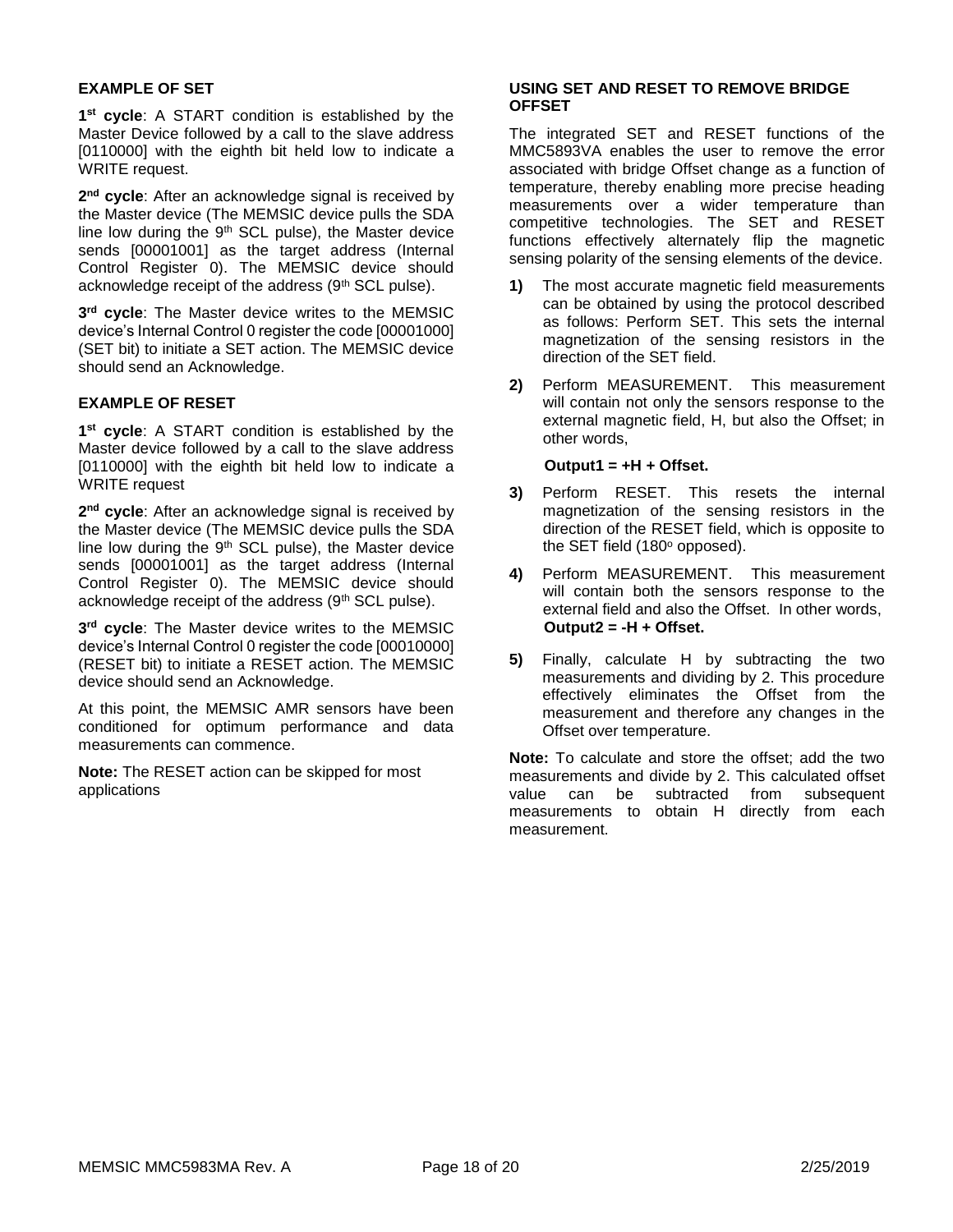## **EXAMPLE OF SET**

**1 st cycle**: A START condition is established by the Master Device followed by a call to the slave address [0110000] with the eighth bit held low to indicate a WRITE request.

**2 nd cycle**: After an acknowledge signal is received by the Master device (The MEMSIC device pulls the SDA line low during the 9<sup>th</sup> SCL pulse), the Master device sends [00001001] as the target address (Internal Control Register 0). The MEMSIC device should acknowledge receipt of the address (9th SCL pulse).

**3 rd cycle**: The Master device writes to the MEMSIC device's Internal Control 0 register the code [00001000] (SET bit) to initiate a SET action. The MEMSIC device should send an Acknowledge.

## **EXAMPLE OF RESET**

**1 st cycle**: A START condition is established by the Master device followed by a call to the slave address [0110000] with the eighth bit held low to indicate a WRITE request

**2 nd cycle**: After an acknowledge signal is received by the Master device (The MEMSIC device pulls the SDA line low during the 9<sup>th</sup> SCL pulse), the Master device sends [00001001] as the target address (Internal Control Register 0). The MEMSIC device should acknowledge receipt of the address (9<sup>th</sup> SCL pulse).

**3 rd cycle**: The Master device writes to the MEMSIC device's Internal Control 0 register the code [00010000] (RESET bit) to initiate a RESET action. The MEMSIC device should send an Acknowledge.

At this point, the MEMSIC AMR sensors have been conditioned for optimum performance and data measurements can commence.

**Note:** The RESET action can be skipped for most applications

## **USING SET AND RESET TO REMOVE BRIDGE OFFSET**

The integrated SET and RESET functions of the MMC5893VA enables the user to remove the error associated with bridge Offset change as a function of temperature, thereby enabling more precise heading measurements over a wider temperature than competitive technologies. The SET and RESET functions effectively alternately flip the magnetic sensing polarity of the sensing elements of the device.

- **1)** The most accurate magnetic field measurements can be obtained by using the protocol described as follows: Perform SET. This sets the internal magnetization of the sensing resistors in the direction of the SET field.
- **2)** Perform MEASUREMENT. This measurement will contain not only the sensors response to the external magnetic field, H, but also the Offset; in other words,

#### **Output1 = +H + Offset.**

- **3)** Perform RESET. This resets the internal magnetization of the sensing resistors in the direction of the RESET field, which is opposite to the SET field  $(180^\circ$  opposed).
- **4)** Perform MEASUREMENT. This measurement will contain both the sensors response to the external field and also the Offset. In other words, **Output2 = -H + Offset.**
- **5)** Finally, calculate H by subtracting the two measurements and dividing by 2. This procedure effectively eliminates the Offset from the measurement and therefore any changes in the Offset over temperature.

**Note:** To calculate and store the offset; add the two measurements and divide by 2. This calculated offset value can be subtracted from subsequent measurements to obtain H directly from each measurement.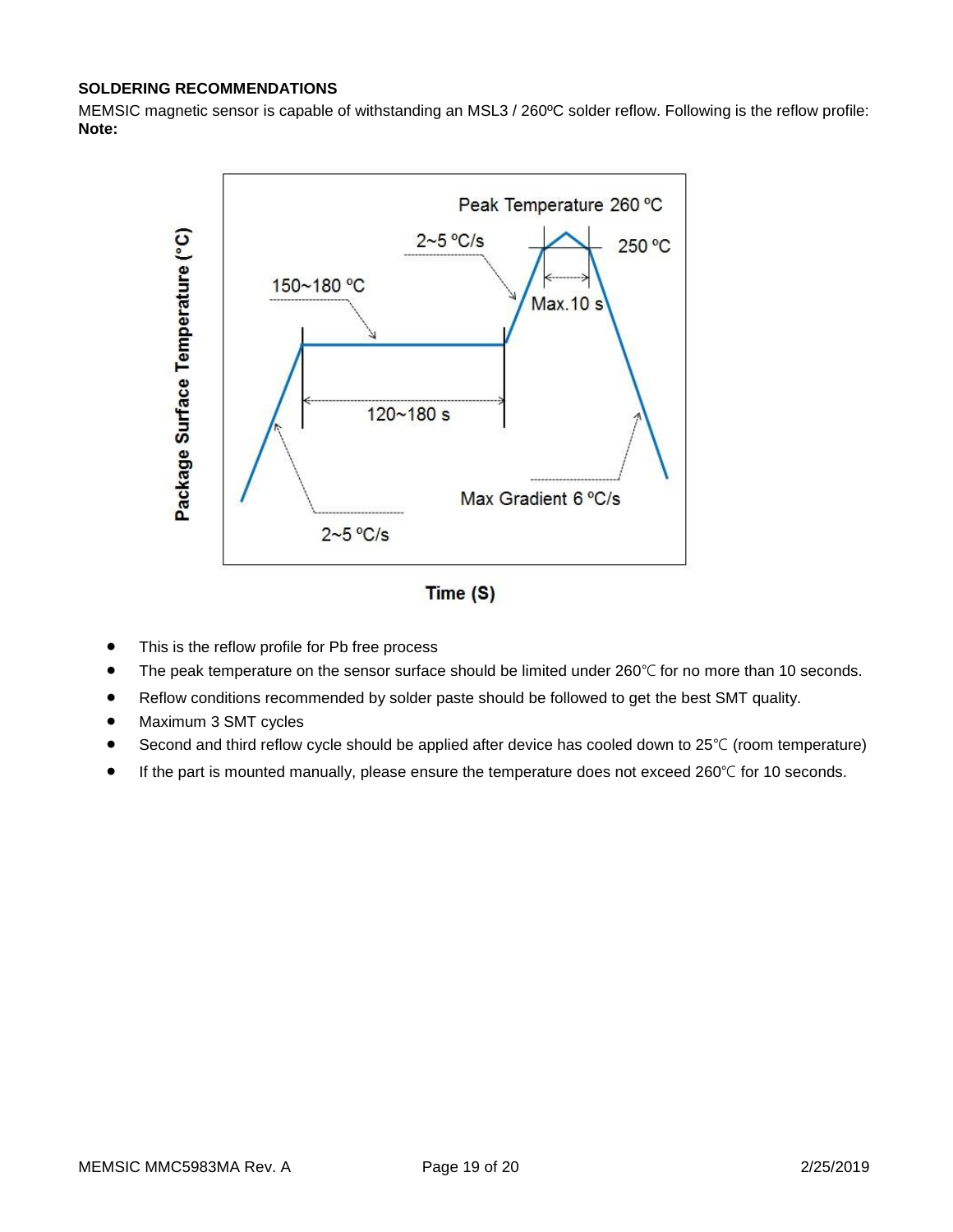## **SOLDERING RECOMMENDATIONS**

MEMSIC magnetic sensor is capable of withstanding an MSL3 / 260ºC solder reflow. Following is the reflow profile: **Note:**



Time (S)

- This is the reflow profile for Pb free process
- The peak temperature on the sensor surface should be limited under 260°C for no more than 10 seconds.
- Reflow conditions recommended by solder paste should be followed to get the best SMT quality.
- Maximum 3 SMT cycles
- Second and third reflow cycle should be applied after device has cooled down to 25℃ (room temperature)
- If the part is mounted manually, please ensure the temperature does not exceed 260℃ for 10 seconds.